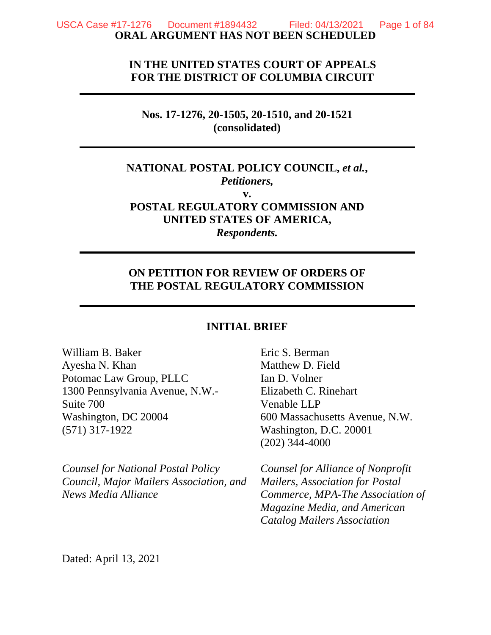# **IN THE UNITED STATES COURT OF APPEALS FOR THE DISTRICT OF COLUMBIA CIRCUIT**

## **Nos. 17-1276, 20-1505, 20-1510, and 20-1521 (consolidated)**

# **NATIONAL POSTAL POLICY COUNCIL,** *et al.***,**  *Petitioners,*

**v. POSTAL REGULATORY COMMISSION AND UNITED STATES OF AMERICA,**  *Respondents.* 

# **ON PETITION FOR REVIEW OF ORDERS OF THE POSTAL REGULATORY COMMISSION**

### **INITIAL BRIEF**

William B. Baker Ayesha N. Khan Potomac Law Group, PLLC 1300 Pennsylvania Avenue, N.W.- Suite 700 Washington, DC 20004 (571) 317-1922

*Counsel for National Postal Policy Council, Major Mailers Association, and News Media Alliance* 

Eric S. Berman Matthew D. Field Ian D. Volner Elizabeth C. Rinehart Venable LLP 600 Massachusetts Avenue, N.W. Washington, D.C. 20001 (202) 344-4000

*Counsel for Alliance of Nonprofit Mailers, Association for Postal Commerce, MPA-The Association of Magazine Media, and American Catalog Mailers Association* 

Dated: April 13, 2021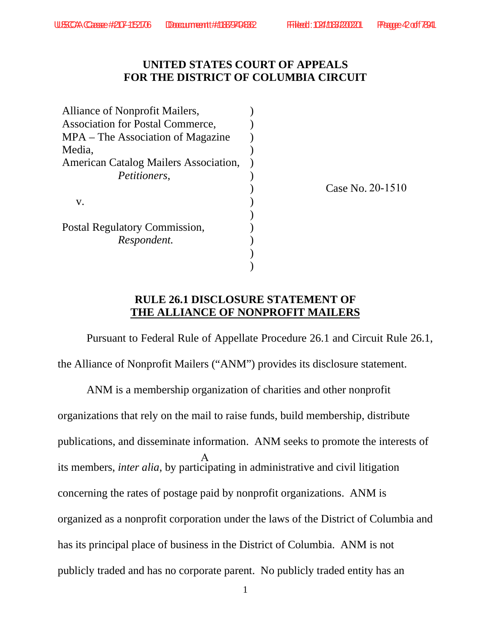# **UNITED STATES COURT OF APPEALS FOR THE DISTRICT OF COLUMBIA CIRCUIT**

| Alliance of Nonprofit Mailers,               |  |
|----------------------------------------------|--|
| <b>Association for Postal Commerce,</b>      |  |
| MPA – The Association of Magazine            |  |
| Media.                                       |  |
| <b>American Catalog Mailers Association,</b> |  |
| <i>Petitioners,</i>                          |  |
|                                              |  |
| v.                                           |  |
|                                              |  |
| Postal Regulatory Commission,                |  |
| Respondent.                                  |  |
|                                              |  |
|                                              |  |

Case No. 20-1510

## **RULE 26.1 DISCLOSURE STATEMENT OF THE ALLIANCE OF NONPROFIT MAILERS**

Pursuant to Federal Rule of Appellate Procedure 26.1 and Circuit Rule 26.1, the Alliance of Nonprofit Mailers ("ANM") provides its disclosure statement.

ANM is a membership organization of charities and other nonprofit organizations that rely on the mail to raise funds, build membership, distribute publications, and disseminate information. ANM seeks to promote the interests of its members, *inter alia*, by participating in administrative and civil litigation concerning the rates of postage paid by nonprofit organizations. ANM is organized as a nonprofit corporation under the laws of the District of Columbia and has its principal place of business in the District of Columbia. ANM is not publicly traded and has no corporate parent. No publicly traded entity has an A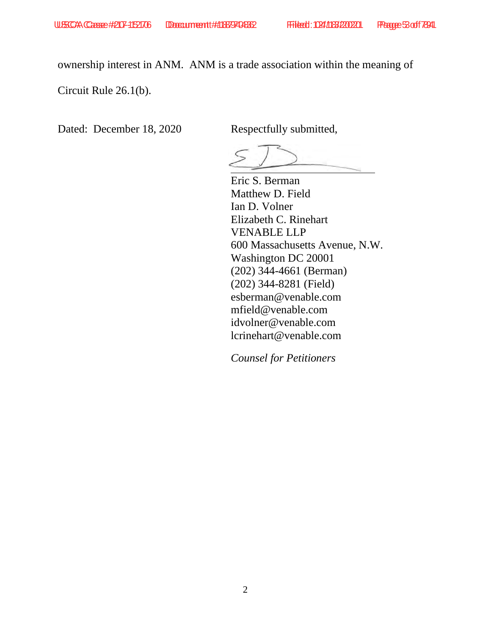ownership interest in ANM. ANM is a trade association within the meaning of

Circuit Rule 26.1(b).

Dated: December 18, 2020 Respectfully submitted,

Eric S. Berman Matthew D. Field Ian D. Volner Elizabeth C. Rinehart VENABLE LLP 600 Massachusetts Avenue, N.W. Washington DC 20001 (202) 344-4661 (Berman) (202) 344-8281 (Field) esberman@venable.com mfield@venable.com idvolner@venable.com lcrinehart@venable.com

*Counsel for Petitioners*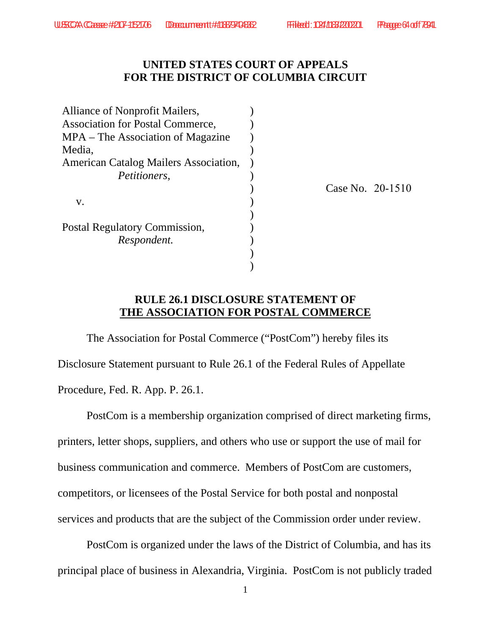20-1510

# **UNITED STATES COURT OF APPEALS FOR THE DISTRICT OF COLUMBIA CIRCUIT**

| Alliance of Nonprofit Mailers,               |          |
|----------------------------------------------|----------|
| <b>Association for Postal Commerce,</b>      |          |
| MPA – The Association of Magazine            |          |
| Media,                                       |          |
| <b>American Catalog Mailers Association,</b> |          |
| <i>Petitioners,</i>                          |          |
|                                              | Case No. |
| V.                                           |          |
|                                              |          |
| Postal Regulatory Commission,                |          |
| Respondent.                                  |          |
|                                              |          |
|                                              |          |

## **RULE 26.1 DISCLOSURE STATEMENT OF THE ASSOCIATION FOR POSTAL COMMERCE**

The Association for Postal Commerce ("PostCom") hereby files its Disclosure Statement pursuant to Rule 26.1 of the Federal Rules of Appellate Procedure, Fed. R. App. P. 26.1.

PostCom is a membership organization comprised of direct marketing firms, printers, letter shops, suppliers, and others who use or support the use of mail for business communication and commerce. Members of PostCom are customers, competitors, or licensees of the Postal Service for both postal and nonpostal services and products that are the subject of the Commission order under review.

PostCom is organized under the laws of the District of Columbia, and has its principal place of business in Alexandria, Virginia. PostCom is not publicly traded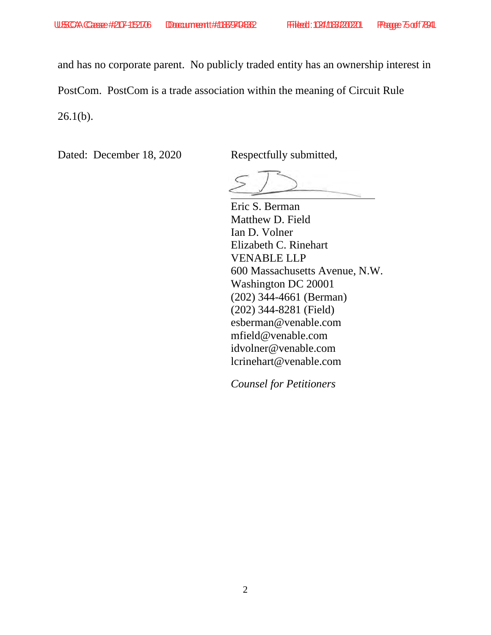and has no corporate parent. No publicly traded entity has an ownership interest in

PostCom. PostCom is a trade association within the meaning of Circuit Rule

 $26.1(b)$ .

Dated: December 18, 2020 Respectfully submitted,

Eric S. Berman Matthew D. Field Ian D. Volner Elizabeth C. Rinehart VENABLE LLP 600 Massachusetts Avenue, N.W. Washington DC 20001 (202) 344-4661 (Berman) (202) 344-8281 (Field) esberman@venable.com mfield@venable.com idvolner@venable.com lcrinehart@venable.com

*Counsel for Petitioners*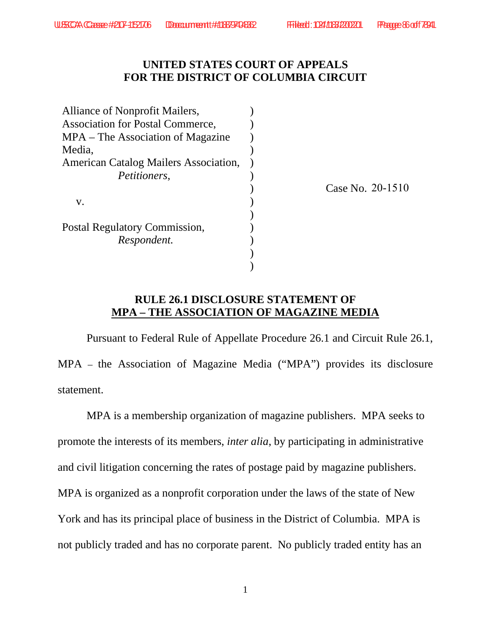# **UNITED STATES COURT OF APPEALS FOR THE DISTRICT OF COLUMBIA CIRCUIT**

| Alliance of Nonprofit Mailers,          |                  |
|-----------------------------------------|------------------|
| <b>Association for Postal Commerce,</b> |                  |
| MPA – The Association of Magazine       |                  |
| Media.                                  |                  |
| American Catalog Mailers Association,   |                  |
| <i>Petitioners,</i>                     |                  |
|                                         | Case No. 20-1510 |
| V.                                      |                  |
|                                         |                  |
| Postal Regulatory Commission,           |                  |
| Respondent.                             |                  |
|                                         |                  |
|                                         |                  |

# **RULE 26.1 DISCLOSURE STATEMENT OF MPA – THE ASSOCIATION OF MAGAZINE MEDIA**

Pursuant to Federal Rule of Appellate Procedure 26.1 and Circuit Rule 26.1, MPA – the Association of Magazine Media ("MPA") provides its disclosure statement.

MPA is a membership organization of magazine publishers. MPA seeks to promote the interests of its members, *inter alia*, by participating in administrative and civil litigation concerning the rates of postage paid by magazine publishers. MPA is organized as a nonprofit corporation under the laws of the state of New York and has its principal place of business in the District of Columbia. MPA is not publicly traded and has no corporate parent. No publicly traded entity has an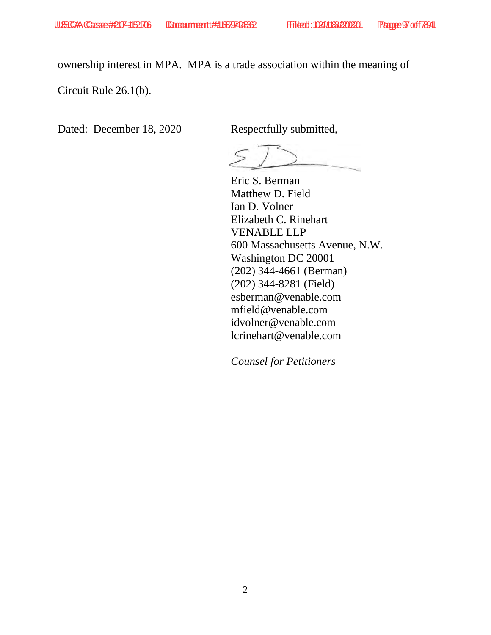ownership interest in MPA. MPA is a trade association within the meaning of

Circuit Rule 26.1(b).

Dated: December 18, 2020 Respectfully submitted,

Eric S. Berman Matthew D. Field Ian D. Volner Elizabeth C. Rinehart VENABLE LLP 600 Massachusetts Avenue, N.W. Washington DC 20001 (202) 344-4661 (Berman) (202) 344-8281 (Field) esberman@venable.com mfield@venable.com idvolner@venable.com lcrinehart@venable.com

*Counsel for Petitioners*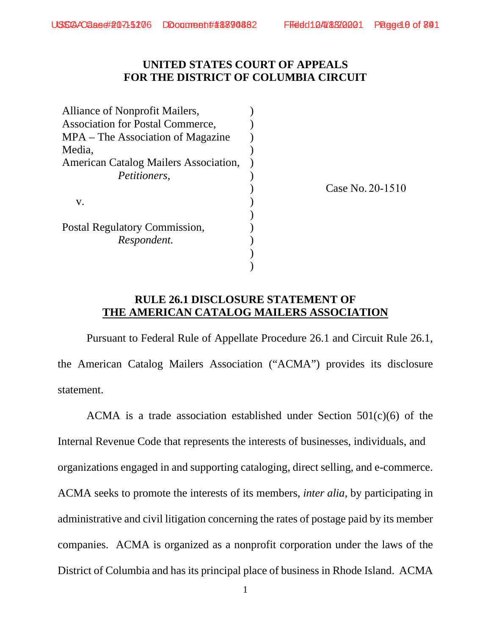# **UNITED STATES COURT OF APPEALS FOR THE DISTRICT OF COLUMBIA CIRCUIT**

| Alliance of Nonprofit Mailers,               |                  |
|----------------------------------------------|------------------|
| <b>Association for Postal Commerce,</b>      |                  |
| MPA – The Association of Magazine            |                  |
| Media.                                       |                  |
| <b>American Catalog Mailers Association,</b> |                  |
| <i>Petitioners,</i>                          |                  |
|                                              | Case No. 20-1510 |
| V.                                           |                  |
|                                              |                  |
| Postal Regulatory Commission,                |                  |
| Respondent.                                  |                  |
|                                              |                  |
|                                              |                  |

## **RULE 26.1 DISCLOSURE STATEMENT OF THE AMERICAN CATALOG MAILERS ASSOCIATION**

Pursuant to Federal Rule of Appellate Procedure 26.1 and Circuit Rule 26.1, the American Catalog Mailers Association ("ACMA") provides its disclosure statement.

ACMA is a trade association established under Section 501(c)(6) of the Internal Revenue Code that represents the interests of businesses, individuals, and organizations engaged in and supporting cataloging, direct selling, and e-commerce. ACMA seeks to promote the interests of its members, *inter alia*, by participating in administrative and civil litigation concerning the rates of postage paid by its member companies. ACMA is organized as a nonprofit corporation under the laws of the District of Columbia and has its principal place of business in Rhode Island. ACMA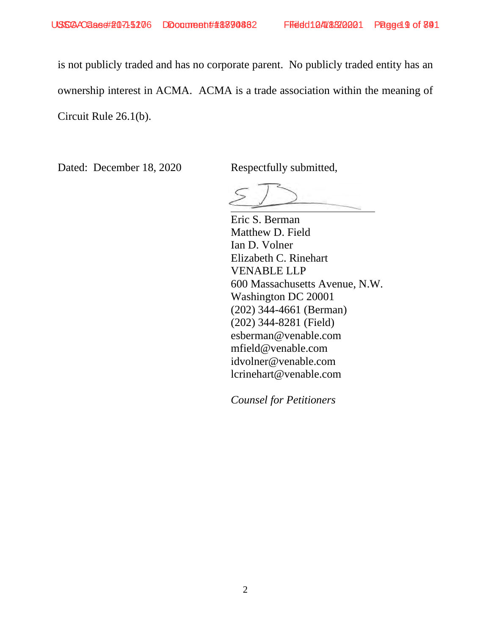is not publicly traded and has no corporate parent. No publicly traded entity has an ownership interest in ACMA. ACMA is a trade association within the meaning of Circuit Rule 26.1(b).

Dated: December 18, 2020 Respectfully submitted,

Eric S. Berman Matthew D. Field Ian D. Volner Elizabeth C. Rinehart VENABLE LLP 600 Massachusetts Avenue, N.W. Washington DC 20001 (202) 344-4661 (Berman) (202) 344-8281 (Field) esberman@venable.com mfield@venable.com idvolner@venable.com lcrinehart@venable.com

*Counsel for Petitioners*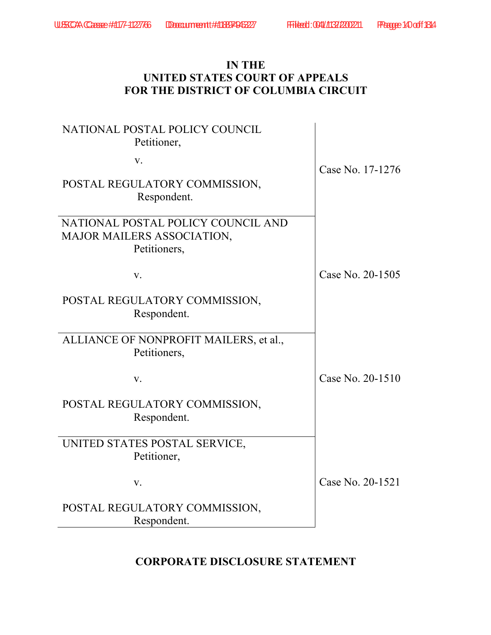# **IN THE UNITED STATES COURT OF APPEALS FOR THE DISTRICT OF COLUMBIA CIRCUIT**

| NATIONAL POSTAL POLICY COUNCIL<br>Petitioner, |                  |
|-----------------------------------------------|------------------|
| V.                                            | Case No. 17-1276 |
| POSTAL REGULATORY COMMISSION,<br>Respondent.  |                  |
| NATIONAL POSTAL POLICY COUNCIL AND            |                  |
| <b>MAJOR MAILERS ASSOCIATION,</b>             |                  |
| Petitioners,                                  |                  |
| V.                                            | Case No. 20-1505 |
| POSTAL REGULATORY COMMISSION,                 |                  |
| Respondent.                                   |                  |
| ALLIANCE OF NONPROFIT MAILERS, et al.,        |                  |
| Petitioners,                                  |                  |
|                                               |                  |
| V.                                            | Case No. 20-1510 |
| POSTAL REGULATORY COMMISSION,                 |                  |
| Respondent.                                   |                  |
| UNITED STATES POSTAL SERVICE,                 |                  |
| Petitioner,                                   |                  |
|                                               |                  |
| V.                                            | Case No. 20-1521 |
| POSTAL REGULATORY COMMISSION,                 |                  |
| Respondent.                                   |                  |

# **CORPORATE DISCLOSURE STATEMENT**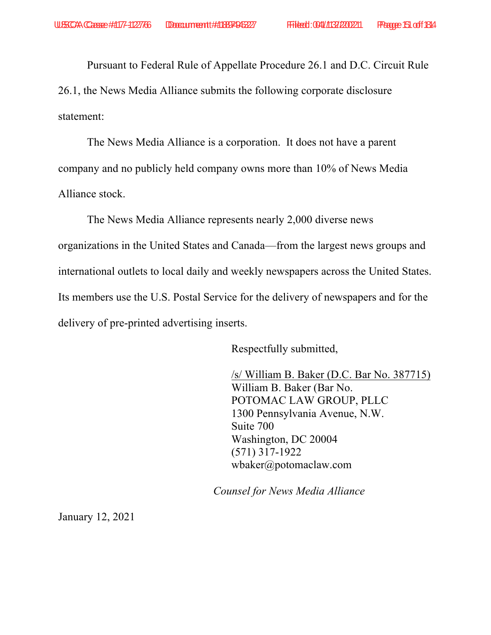Pursuant to Federal Rule of Appellate Procedure 26.1 and D.C. Circuit Rule

26.1, the News Media Alliance submits the following corporate disclosure statement:

The News Media Alliance is a corporation. It does not have a parent company and no publicly held company owns more than 10% of News Media Alliance stock.

The News Media Alliance represents nearly 2,000 diverse news organizations in the United States and Canada—from the largest news groups and international outlets to local daily and weekly newspapers across the United States. Its members use the U.S. Postal Service for the delivery of newspapers and for the delivery of pre-printed advertising inserts.

Respectfully submitted,

/s/ William B. Baker (D.C. Bar No. 387715) William B. Baker (Bar No. POTOMAC LAW GROUP, PLLC 1300 Pennsylvania Avenue, N.W. Suite 700 Washington, DC 20004 (571) 317-1922 wbaker@potomaclaw.com

*Counsel for News Media Alliance*

January 12, 2021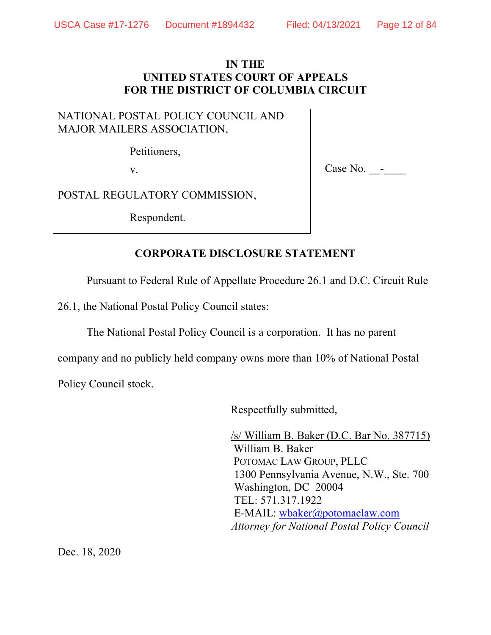# **IN THE UNITED STATES COURT OF APPEALS FOR THE DISTRICT OF COLUMBIA CIRCUIT**

# NATIONAL POSTAL POLICY COUNCIL AND MAJOR MAILERS ASSOCIATION,

Petitioners,

v.  $\qquad \qquad \qquad \qquad \qquad \qquad \qquad \qquad \qquad \qquad \text{Case No.} \qquad \qquad \text{---}$ 

POSTAL REGULATORY COMMISSION,

Respondent.

# **CORPORATE DISCLOSURE STATEMENT**

Pursuant to Federal Rule of Appellate Procedure 26.1 and D.C. Circuit Rule

26.1, the National Postal Policy Council states:

The National Postal Policy Council is a corporation. It has no parent

company and no publicly held company owns more than 10% of National Postal

Policy Council stock.

Respectfully submitted,

/s/ William B. Baker (D.C. Bar No. 387715) William B. Baker POTOMAC LAW GROUP, PLLC 1300 Pennsylvania Avenue, N.W., Ste. 700 Washington, DC 20004 TEL: 571.317.1922 E-MAIL: wbaker@potomaclaw.com *Attorney for National Postal Policy Council*

Dec. 18, 2020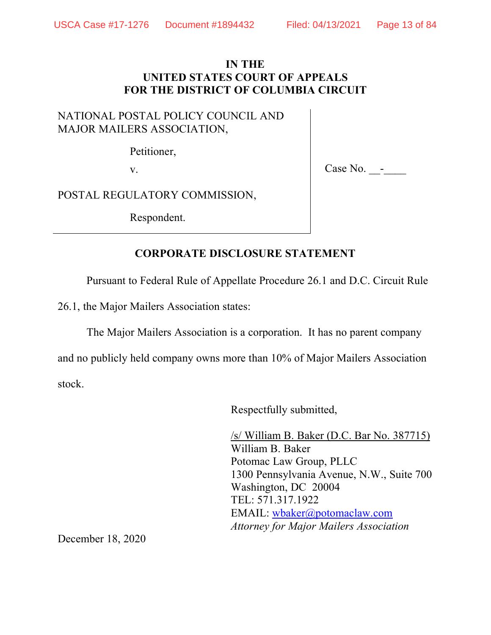# **IN THE UNITED STATES COURT OF APPEALS FOR THE DISTRICT OF COLUMBIA CIRCUIT**

# NATIONAL POSTAL POLICY COUNCIL AND MAJOR MAILERS ASSOCIATION,

Petitioner,

v.  $\qquad \qquad \qquad \qquad \qquad \qquad \qquad \qquad \qquad \qquad \text{Case No.} \qquad \qquad \text{---}$ 

POSTAL REGULATORY COMMISSION,

Respondent.

# **CORPORATE DISCLOSURE STATEMENT**

Pursuant to Federal Rule of Appellate Procedure 26.1 and D.C. Circuit Rule

26.1, the Major Mailers Association states:

The Major Mailers Association is a corporation. It has no parent company

and no publicly held company owns more than 10% of Major Mailers Association stock.

Respectfully submitted,

/s/ William B. Baker (D.C. Bar No. 387715) William B. Baker Potomac Law Group, PLLC 1300 Pennsylvania Avenue, N.W., Suite 700 Washington, DC 20004 TEL: 571.317.1922 EMAIL: wbaker@potomaclaw.com  *Attorney for Major Mailers Association*

December 18, 2020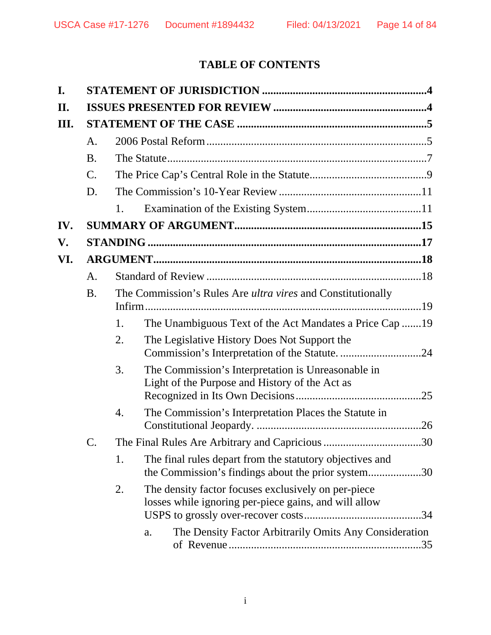# **TABLE OF CONTENTS**

| I.   |           |    |                                                                                                                     |  |
|------|-----------|----|---------------------------------------------------------------------------------------------------------------------|--|
| П.   |           |    |                                                                                                                     |  |
| III. |           |    |                                                                                                                     |  |
|      | A.        |    |                                                                                                                     |  |
|      | <b>B.</b> |    |                                                                                                                     |  |
|      | $C$ .     |    |                                                                                                                     |  |
|      | D.        |    |                                                                                                                     |  |
|      |           | 1. |                                                                                                                     |  |
| IV.  |           |    |                                                                                                                     |  |
| V.   |           |    |                                                                                                                     |  |
| VI.  |           |    |                                                                                                                     |  |
|      | А.        |    |                                                                                                                     |  |
|      | <b>B.</b> |    | The Commission's Rules Are <i>ultra vires</i> and Constitutionally                                                  |  |
|      |           | 1. | The Unambiguous Text of the Act Mandates a Price Cap 19                                                             |  |
|      |           | 2. | The Legislative History Does Not Support the                                                                        |  |
|      |           | 3. | The Commission's Interpretation is Unreasonable in<br>Light of the Purpose and History of the Act as<br>.25         |  |
|      |           | 4. | The Commission's Interpretation Places the Statute in<br>.26                                                        |  |
|      |           |    |                                                                                                                     |  |
|      |           | 1. | The final rules depart from the statutory objectives and<br>the Commission's findings about the prior system30      |  |
|      |           | 2. | The density factor focuses exclusively on per-piece<br>losses while ignoring per-piece gains, and will allow<br>.34 |  |
|      |           |    | The Density Factor Arbitrarily Omits Any Consideration<br>a.                                                        |  |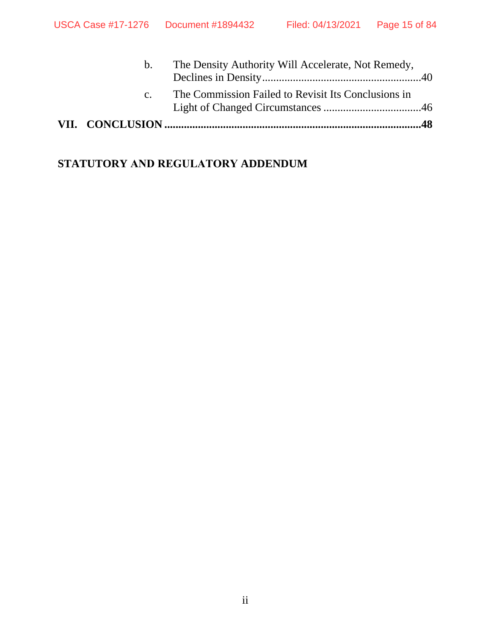| b.             | The Density Authority Will Accelerate, Not Remedy,  |  |
|----------------|-----------------------------------------------------|--|
| C <sub>1</sub> | The Commission Failed to Revisit Its Conclusions in |  |
|                |                                                     |  |

# **STATUTORY AND REGULATORY ADDENDUM**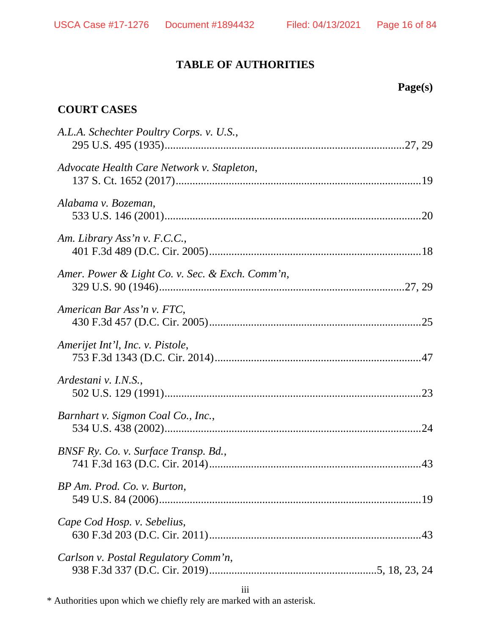# **TABLE OF AUTHORITIES**

# **Page(s)**

# **COURT CASES**

| A.L.A. Schechter Poultry Corps. v. U.S.,        |
|-------------------------------------------------|
| Advocate Health Care Network v. Stapleton,      |
| Alabama v. Bozeman,                             |
| Am. Library Ass'n v. F.C.C.,                    |
| Amer. Power & Light Co. v. Sec. & Exch. Comm'n, |
| American Bar Ass'n v. FTC,                      |
| Amerijet Int'l, Inc. v. Pistole,                |
| Ardestani v. I.N.S.,                            |
| Barnhart v. Sigmon Coal Co., Inc.,              |
| BNSF Ry. Co. v. Surface Transp. Bd.,            |
| BP Am. Prod. Co. v. Burton,                     |
| Cape Cod Hosp. v. Sebelius,                     |
| Carlson v. Postal Regulatory Comm'n,            |
|                                                 |

\* Authorities upon which we chiefly rely are marked with an asterisk.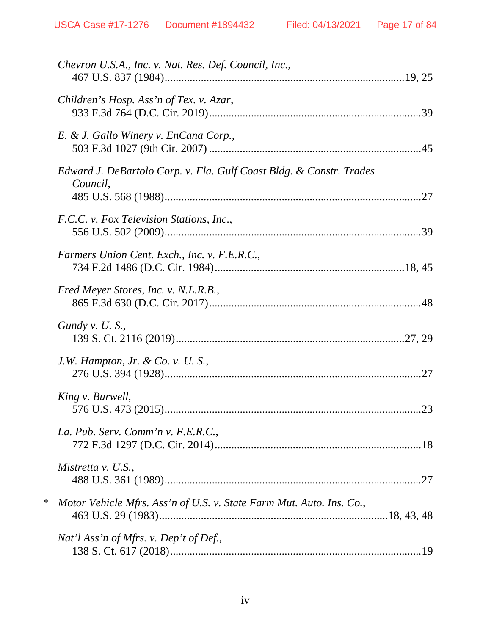|        | Chevron U.S.A., Inc. v. Nat. Res. Def. Council, Inc.,                           |
|--------|---------------------------------------------------------------------------------|
|        | Children's Hosp. Ass'n of Tex. v. Azar,                                         |
|        | E. & J. Gallo Winery v. EnCana Corp.,                                           |
|        | Edward J. DeBartolo Corp. v. Fla. Gulf Coast Bldg. & Constr. Trades<br>Council, |
|        | F.C.C. v. Fox Television Stations, Inc.,                                        |
|        | Farmers Union Cent. Exch., Inc. v. F.E.R.C.,                                    |
|        | Fred Meyer Stores, Inc. v. N.L.R.B.,                                            |
|        | Gundy v. $U$ . S.,                                                              |
|        | J.W. Hampton, Jr. & Co. v. U. S.,                                               |
|        | King v. Burwell,                                                                |
|        | La. Pub. Serv. Comm'n v. F.E.R.C.,                                              |
|        | Mistretta v. U.S.,                                                              |
| $\ast$ | Motor Vehicle Mfrs. Ass'n of U.S. v. State Farm Mut. Auto. Ins. Co.,            |
|        | Nat'l Ass'n of Mfrs. v. Dep't of Def.,                                          |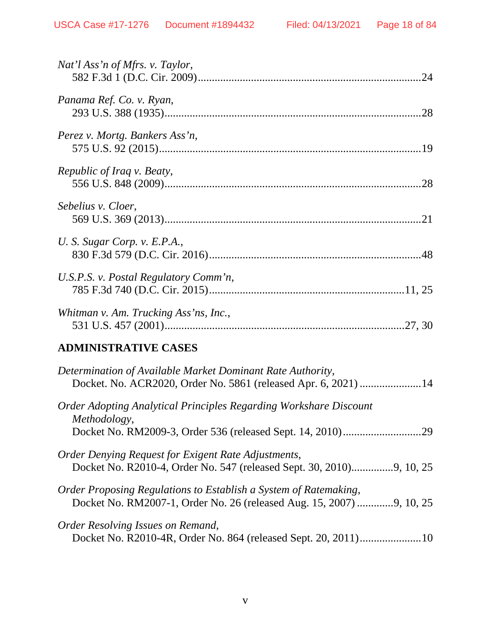| Nat'l Ass'n of Mfrs. v. Taylor,                                                                                                          |
|------------------------------------------------------------------------------------------------------------------------------------------|
| Panama Ref. Co. v. Ryan,                                                                                                                 |
| Perez v. Mortg. Bankers Ass'n,                                                                                                           |
| Republic of Iraq v. Beaty,                                                                                                               |
| Sebelius v. Cloer,                                                                                                                       |
| U. S. Sugar Corp. v. E.P.A.,                                                                                                             |
| U.S.P.S. v. Postal Regulatory Comm'n,                                                                                                    |
| Whitman v. Am. Trucking Ass'ns, Inc.,                                                                                                    |
| <b>ADMINISTRATIVE CASES</b>                                                                                                              |
| Determination of Available Market Dominant Rate Authority,<br>Docket. No. ACR2020, Order No. 5861 (released Apr. 6, 2021)  14            |
| <b>Order Adopting Analytical Principles Regarding Workshare Discount</b><br><i>Methodology,</i>                                          |
| Order Denying Request for Exigent Rate Adjustments,<br>Docket No. R2010-4, Order No. 547 (released Sept. 30, 2010)9, 10, 25              |
| Order Proposing Regulations to Establish a System of Ratemaking,<br>Docket No. RM2007-1, Order No. 26 (released Aug. 15, 2007) 9, 10, 25 |
| Order Resolving Issues on Remand,<br>Docket No. R2010-4R, Order No. 864 (released Sept. 20, 2011)10                                      |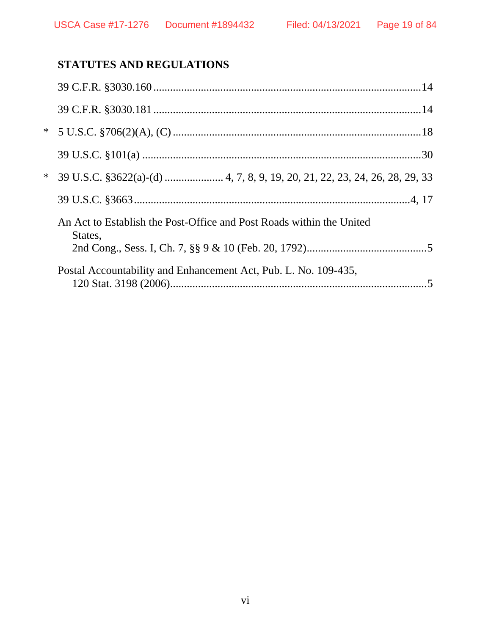# **STATUTES AND REGULATIONS**

| $*$    |                                                                                 |
|--------|---------------------------------------------------------------------------------|
|        |                                                                                 |
| $\ast$ |                                                                                 |
|        |                                                                                 |
|        | An Act to Establish the Post-Office and Post Roads within the United<br>States, |
|        | Postal Accountability and Enhancement Act, Pub. L. No. 109-435,                 |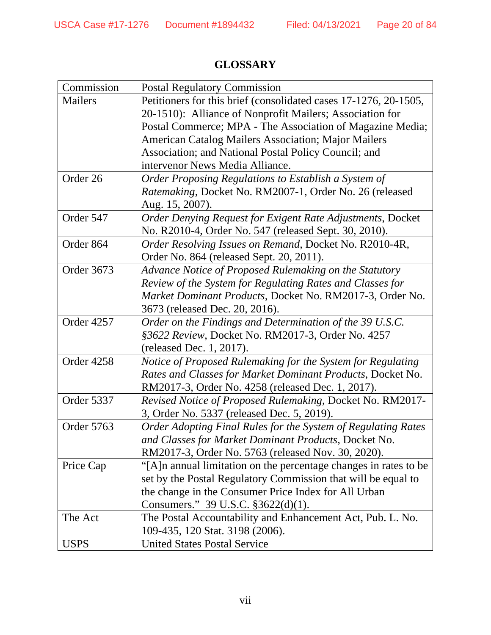| Commission        | <b>Postal Regulatory Commission</b>                              |
|-------------------|------------------------------------------------------------------|
| <b>Mailers</b>    | Petitioners for this brief (consolidated cases 17-1276, 20-1505, |
|                   | 20-1510): Alliance of Nonprofit Mailers; Association for         |
|                   |                                                                  |
|                   | Postal Commerce; MPA - The Association of Magazine Media;        |
|                   | <b>American Catalog Mailers Association; Major Mailers</b>       |
|                   | Association; and National Postal Policy Council; and             |
|                   | intervenor News Media Alliance.                                  |
| Order 26          | Order Proposing Regulations to Establish a System of             |
|                   | Ratemaking, Docket No. RM2007-1, Order No. 26 (released          |
|                   | Aug. 15, 2007).                                                  |
| Order 547         | Order Denying Request for Exigent Rate Adjustments, Docket       |
|                   | No. R2010-4, Order No. 547 (released Sept. 30, 2010).            |
| Order 864         | Order Resolving Issues on Remand, Docket No. R2010-4R,           |
|                   | Order No. 864 (released Sept. 20, 2011).                         |
| <b>Order 3673</b> | Advance Notice of Proposed Rulemaking on the Statutory           |
|                   | Review of the System for Regulating Rates and Classes for        |
|                   | Market Dominant Products, Docket No. RM2017-3, Order No.         |
|                   | 3673 (released Dec. 20, 2016).                                   |
| Order 4257        | Order on the Findings and Determination of the 39 U.S.C.         |
|                   | §3622 Review, Docket No. RM2017-3, Order No. 4257                |
|                   | (released Dec. 1, 2017).                                         |
| Order 4258        | Notice of Proposed Rulemaking for the System for Regulating      |
|                   | Rates and Classes for Market Dominant Products, Docket No.       |
|                   | RM2017-3, Order No. 4258 (released Dec. 1, 2017).                |
| Order 5337        | Revised Notice of Proposed Rulemaking, Docket No. RM2017-        |
|                   | 3, Order No. 5337 (released Dec. 5, 2019).                       |
| Order 5763        | Order Adopting Final Rules for the System of Regulating Rates    |
|                   | and Classes for Market Dominant Products, Docket No.             |
|                   | RM2017-3, Order No. 5763 (released Nov. 30, 2020).               |
| Price Cap         | "[A]n annual limitation on the percentage changes in rates to be |
|                   | set by the Postal Regulatory Commission that will be equal to    |
|                   | the change in the Consumer Price Index for All Urban             |
|                   | Consumers." 39 U.S.C. §3622(d)(1).                               |
| The Act           | The Postal Accountability and Enhancement Act, Pub. L. No.       |
|                   | 109-435, 120 Stat. 3198 (2006).                                  |
| <b>USPS</b>       | <b>United States Postal Service</b>                              |

# **GLOSSARY**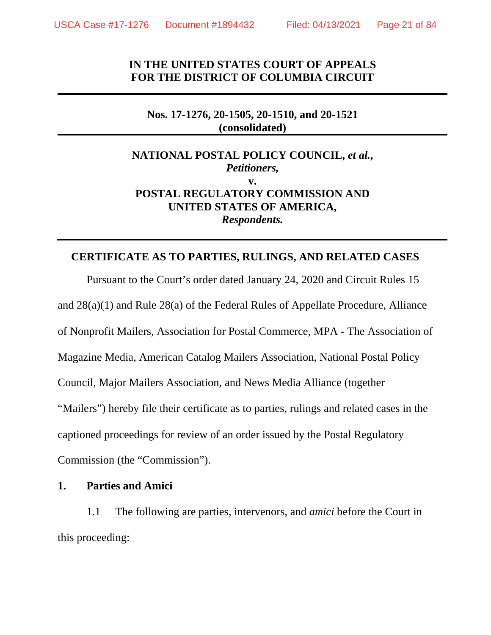# **IN THE UNITED STATES COURT OF APPEALS FOR THE DISTRICT OF COLUMBIA CIRCUIT**

### **Nos. 17-1276, 20-1505, 20-1510, and 20-1521 (consolidated)**

# **NATIONAL POSTAL POLICY COUNCIL,** *et al.***,**  *Petitioners,*  **v. POSTAL REGULATORY COMMISSION AND UNITED STATES OF AMERICA,**  *Respondents.*

## **CERTIFICATE AS TO PARTIES, RULINGS, AND RELATED CASES**

Pursuant to the Court's order dated January 24, 2020 and Circuit Rules 15 and 28(a)(1) and Rule 28(a) of the Federal Rules of Appellate Procedure, Alliance of Nonprofit Mailers, Association for Postal Commerce, MPA - The Association of Magazine Media, American Catalog Mailers Association, National Postal Policy Council, Major Mailers Association, and News Media Alliance (together "Mailers") hereby file their certificate as to parties, rulings and related cases in the captioned proceedings for review of an order issued by the Postal Regulatory Commission (the "Commission").

### **1. Parties and Amici**

1.1 The following are parties, intervenors, and *amici* before the Court in this proceeding: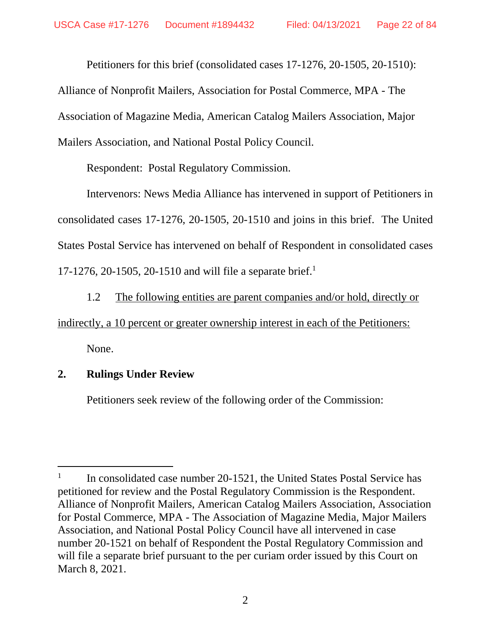Petitioners for this brief (consolidated cases 17-1276, 20-1505, 20-1510):

Alliance of Nonprofit Mailers, Association for Postal Commerce, MPA - The Association of Magazine Media, American Catalog Mailers Association, Major Mailers Association, and National Postal Policy Council.

Respondent: Postal Regulatory Commission.

Intervenors: News Media Alliance has intervened in support of Petitioners in consolidated cases 17-1276, 20-1505, 20-1510 and joins in this brief. The United States Postal Service has intervened on behalf of Respondent in consolidated cases 17-1276, 20-1505, 20-1510 and will file a separate brief.<sup>1</sup>

1.2 The following entities are parent companies and/or hold, directly or indirectly, a 10 percent or greater ownership interest in each of the Petitioners: None.

# **2. Rulings Under Review**

Petitioners seek review of the following order of the Commission:

<sup>1</sup> In consolidated case number 20-1521, the United States Postal Service has petitioned for review and the Postal Regulatory Commission is the Respondent. Alliance of Nonprofit Mailers, American Catalog Mailers Association, Association for Postal Commerce, MPA - The Association of Magazine Media, Major Mailers Association, and National Postal Policy Council have all intervened in case number 20-1521 on behalf of Respondent the Postal Regulatory Commission and will file a separate brief pursuant to the per curiam order issued by this Court on March 8, 2021.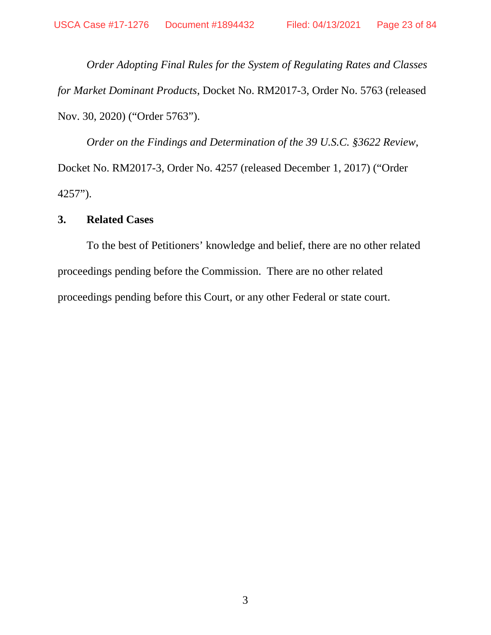*Order Adopting Final Rules for the System of Regulating Rates and Classes for Market Dominant Products*, Docket No. RM2017-3, Order No. 5763 (released Nov. 30, 2020) ("Order 5763").

*Order on the Findings and Determination of the 39 U.S.C. §3622 Review*, Docket No. RM2017-3, Order No. 4257 (released December 1, 2017) ("Order 4257").

## **3. Related Cases**

To the best of Petitioners' knowledge and belief, there are no other related proceedings pending before the Commission. There are no other related proceedings pending before this Court, or any other Federal or state court.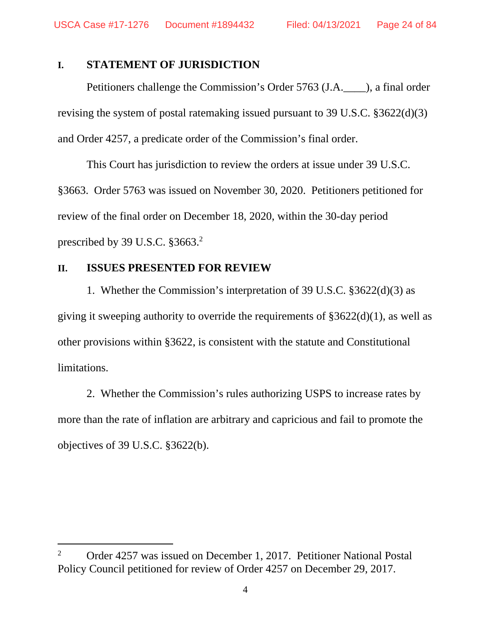### **I. STATEMENT OF JURISDICTION**

Petitioners challenge the Commission's Order 5763 (J.A.\_\_\_\_), a final order revising the system of postal ratemaking issued pursuant to 39 U.S.C. §3622(d)(3) and Order 4257, a predicate order of the Commission's final order.

This Court has jurisdiction to review the orders at issue under 39 U.S.C. §3663. Order 5763 was issued on November 30, 2020. Petitioners petitioned for review of the final order on December 18, 2020, within the 30-day period prescribed by 39 U.S.C. §3663.<sup>2</sup>

### **II. ISSUES PRESENTED FOR REVIEW**

1. Whether the Commission's interpretation of 39 U.S.C. §3622(d)(3) as giving it sweeping authority to override the requirements of  $\S 3622(d)(1)$ , as well as other provisions within §3622, is consistent with the statute and Constitutional limitations.

2. Whether the Commission's rules authorizing USPS to increase rates by more than the rate of inflation are arbitrary and capricious and fail to promote the objectives of 39 U.S.C. §3622(b).

<sup>2</sup> Order 4257 was issued on December 1, 2017. Petitioner National Postal Policy Council petitioned for review of Order 4257 on December 29, 2017.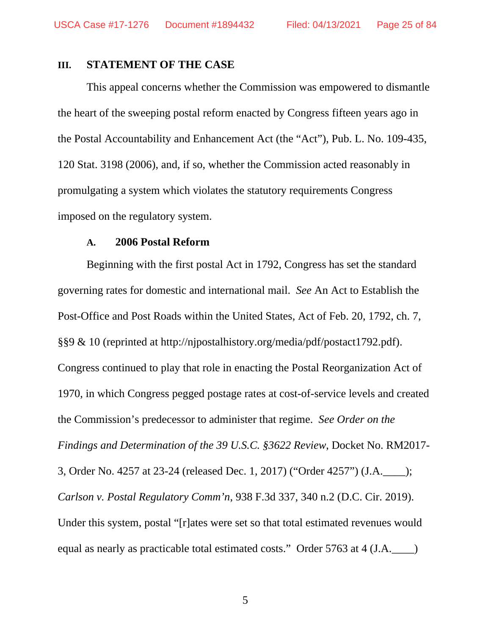### **III. STATEMENT OF THE CASE**

This appeal concerns whether the Commission was empowered to dismantle the heart of the sweeping postal reform enacted by Congress fifteen years ago in the Postal Accountability and Enhancement Act (the "Act"), Pub. L. No. 109-435, 120 Stat. 3198 (2006), and, if so, whether the Commission acted reasonably in promulgating a system which violates the statutory requirements Congress imposed on the regulatory system.

### **A. 2006 Postal Reform**

Beginning with the first postal Act in 1792, Congress has set the standard governing rates for domestic and international mail. *See* An Act to Establish the Post-Office and Post Roads within the United States, Act of Feb. 20, 1792, ch. 7, §§9 & 10 (reprinted at http://njpostalhistory.org/media/pdf/postact1792.pdf). Congress continued to play that role in enacting the Postal Reorganization Act of 1970, in which Congress pegged postage rates at cost-of-service levels and created the Commission's predecessor to administer that regime. *See Order on the Findings and Determination of the 39 U.S.C. §3622 Review*, Docket No. RM2017- 3, Order No. 4257 at 23-24 (released Dec. 1, 2017) ("Order 4257") (J.A.\_\_\_\_); *Carlson v. Postal Regulatory Comm'n*, 938 F.3d 337, 340 n.2 (D.C. Cir. 2019). Under this system, postal "[r]ates were set so that total estimated revenues would equal as nearly as practicable total estimated costs." Order 5763 at 4 (J.A.\_\_\_\_)

5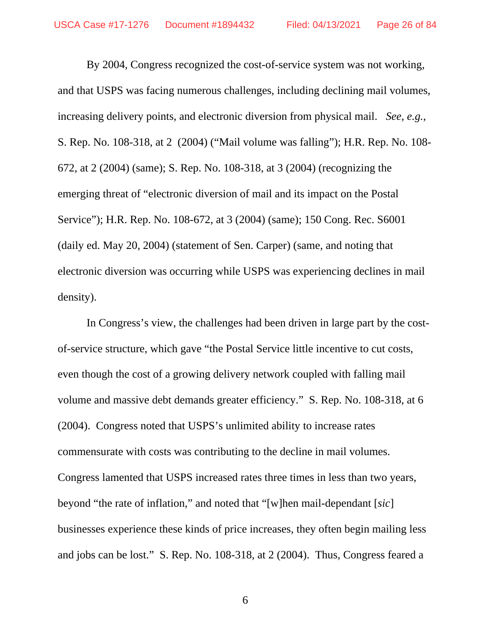By 2004, Congress recognized the cost-of-service system was not working, and that USPS was facing numerous challenges, including declining mail volumes, increasing delivery points, and electronic diversion from physical mail. *See, e.g.*, S. Rep. No. 108-318, at 2 (2004) ("Mail volume was falling"); H.R. Rep. No. 108- 672, at 2 (2004) (same); S. Rep. No. 108-318, at 3 (2004) (recognizing the emerging threat of "electronic diversion of mail and its impact on the Postal Service"); H.R. Rep. No. 108-672, at 3 (2004) (same); 150 Cong. Rec. S6001 (daily ed. May 20, 2004) (statement of Sen. Carper) (same, and noting that electronic diversion was occurring while USPS was experiencing declines in mail density).

In Congress's view, the challenges had been driven in large part by the costof-service structure, which gave "the Postal Service little incentive to cut costs, even though the cost of a growing delivery network coupled with falling mail volume and massive debt demands greater efficiency." S. Rep. No. 108-318, at 6 (2004). Congress noted that USPS's unlimited ability to increase rates commensurate with costs was contributing to the decline in mail volumes. Congress lamented that USPS increased rates three times in less than two years, beyond "the rate of inflation," and noted that "[w]hen mail-dependant [*sic*] businesses experience these kinds of price increases, they often begin mailing less and jobs can be lost." S. Rep. No. 108-318, at 2 (2004). Thus, Congress feared a

6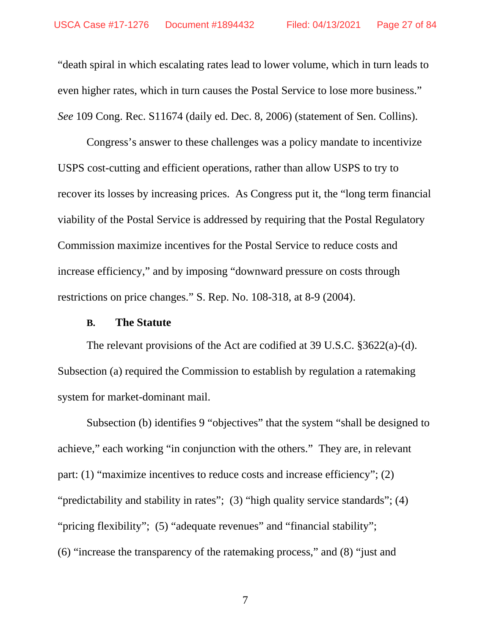"death spiral in which escalating rates lead to lower volume, which in turn leads to even higher rates, which in turn causes the Postal Service to lose more business." *See* 109 Cong. Rec. S11674 (daily ed. Dec. 8, 2006) (statement of Sen. Collins).

Congress's answer to these challenges was a policy mandate to incentivize USPS cost-cutting and efficient operations, rather than allow USPS to try to recover its losses by increasing prices. As Congress put it, the "long term financial viability of the Postal Service is addressed by requiring that the Postal Regulatory Commission maximize incentives for the Postal Service to reduce costs and increase efficiency," and by imposing "downward pressure on costs through restrictions on price changes." S. Rep. No. 108-318, at 8-9 (2004).

### **B. The Statute**

The relevant provisions of the Act are codified at 39 U.S.C. §3622(a)-(d). Subsection (a) required the Commission to establish by regulation a ratemaking system for market-dominant mail.

Subsection (b) identifies 9 "objectives" that the system "shall be designed to achieve," each working "in conjunction with the others." They are, in relevant part: (1) "maximize incentives to reduce costs and increase efficiency"; (2) "predictability and stability in rates"; (3) "high quality service standards"; (4) "pricing flexibility"; (5) "adequate revenues" and "financial stability"; (6) "increase the transparency of the ratemaking process," and (8) "just and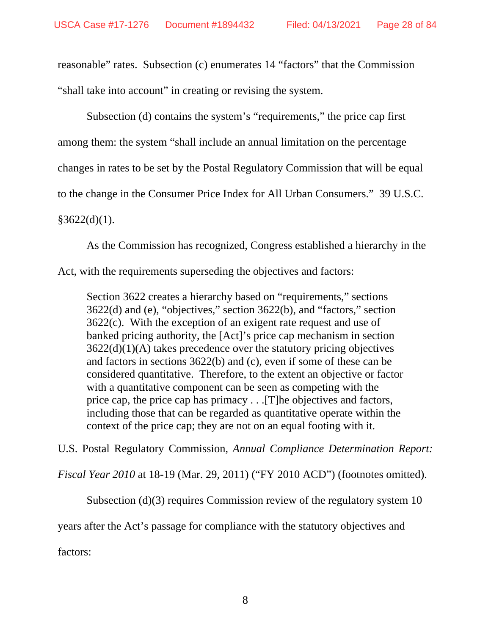reasonable" rates. Subsection (c) enumerates 14 "factors" that the Commission "shall take into account" in creating or revising the system.

Subsection (d) contains the system's "requirements," the price cap first among them: the system "shall include an annual limitation on the percentage changes in rates to be set by the Postal Regulatory Commission that will be equal to the change in the Consumer Price Index for All Urban Consumers." 39 U.S.C.  $§3622(d)(1).$ 

As the Commission has recognized, Congress established a hierarchy in the

Act, with the requirements superseding the objectives and factors:

Section 3622 creates a hierarchy based on "requirements," sections 3622(d) and (e), "objectives," section 3622(b), and "factors," section 3622(c). With the exception of an exigent rate request and use of banked pricing authority, the [Act]'s price cap mechanism in section 3622(d)(1)(A) takes precedence over the statutory pricing objectives and factors in sections 3622(b) and (c), even if some of these can be considered quantitative. Therefore, to the extent an objective or factor with a quantitative component can be seen as competing with the price cap, the price cap has primacy . . .[T]he objectives and factors, including those that can be regarded as quantitative operate within the context of the price cap; they are not on an equal footing with it.

U.S. Postal Regulatory Commission, *Annual Compliance Determination Report:* 

*Fiscal Year 2010* at 18-19 (Mar. 29, 2011) ("FY 2010 ACD") (footnotes omitted).

Subsection (d)(3) requires Commission review of the regulatory system 10

years after the Act's passage for compliance with the statutory objectives and

factors: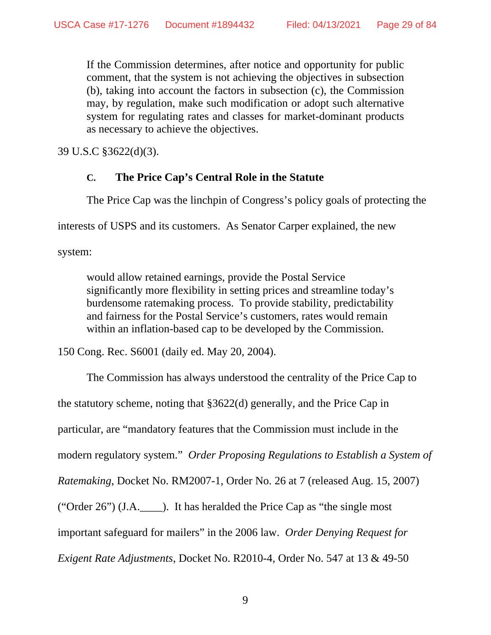If the Commission determines, after notice and opportunity for public comment, that the system is not achieving the objectives in subsection (b), taking into account the factors in subsection (c), the Commission may, by regulation, make such modification or adopt such alternative system for regulating rates and classes for market-dominant products as necessary to achieve the objectives.

39 U.S.C §3622(d)(3).

# **C. The Price Cap's Central Role in the Statute**

The Price Cap was the linchpin of Congress's policy goals of protecting the

interests of USPS and its customers. As Senator Carper explained, the new

system:

would allow retained earnings, provide the Postal Service significantly more flexibility in setting prices and streamline today's burdensome ratemaking process. To provide stability, predictability and fairness for the Postal Service's customers, rates would remain within an inflation-based cap to be developed by the Commission.

150 Cong. Rec. S6001 (daily ed. May 20, 2004).

The Commission has always understood the centrality of the Price Cap to the statutory scheme, noting that §3622(d) generally, and the Price Cap in particular, are "mandatory features that the Commission must include in the modern regulatory system." *Order Proposing Regulations to Establish a System of Ratemaking*, Docket No. RM2007-1, Order No. 26 at 7 (released Aug. 15, 2007) ("Order 26") (J.A.\_\_\_\_). It has heralded the Price Cap as "the single most important safeguard for mailers" in the 2006 law. *Order Denying Request for Exigent Rate Adjustments*, Docket No. R2010-4, Order No. 547 at 13 & 49-50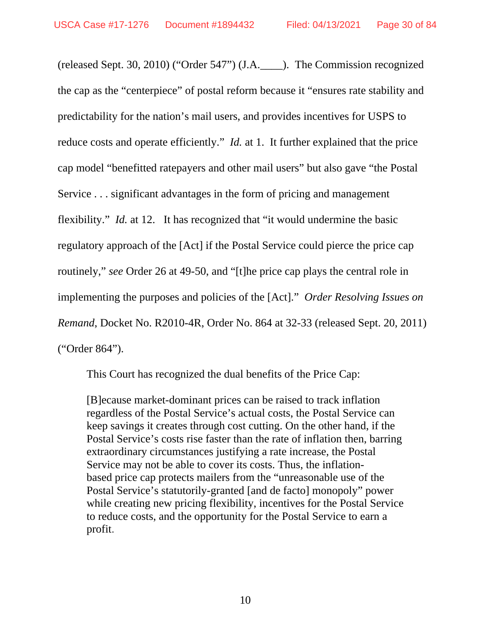(released Sept. 30, 2010) ("Order 547") (J.A.\_\_\_\_). The Commission recognized the cap as the "centerpiece" of postal reform because it "ensures rate stability and predictability for the nation's mail users, and provides incentives for USPS to reduce costs and operate efficiently." *Id.* at 1. It further explained that the price cap model "benefitted ratepayers and other mail users" but also gave "the Postal Service . . . significant advantages in the form of pricing and management flexibility." *Id.* at 12. It has recognized that "it would undermine the basic regulatory approach of the [Act] if the Postal Service could pierce the price cap routinely," *see* Order 26 at 49-50, and "[t]he price cap plays the central role in implementing the purposes and policies of the [Act]." *Order Resolving Issues on Remand*, Docket No. R2010-4R, Order No. 864 at 32-33 (released Sept. 20, 2011) ("Order 864").

This Court has recognized the dual benefits of the Price Cap:

[B]ecause market-dominant prices can be raised to track inflation regardless of the Postal Service's actual costs, the Postal Service can keep savings it creates through cost cutting. On the other hand, if the Postal Service's costs rise faster than the rate of inflation then, barring extraordinary circumstances justifying a rate increase, the Postal Service may not be able to cover its costs. Thus, the inflationbased price cap protects mailers from the "unreasonable use of the Postal Service's statutorily-granted [and de facto] monopoly" power while creating new pricing flexibility, incentives for the Postal Service to reduce costs, and the opportunity for the Postal Service to earn a profit.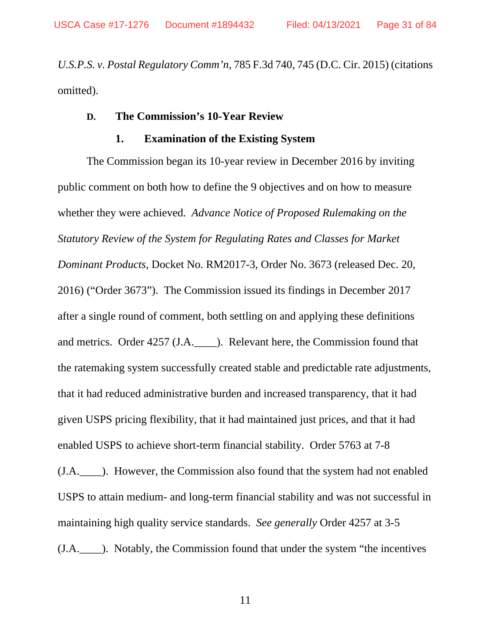*U.S.P.S. v. Postal Regulatory Comm'n*, 785 F.3d 740, 745 (D.C. Cir. 2015) (citations omitted).

### **D. The Commission's 10-Year Review**

### **1. Examination of the Existing System**

The Commission began its 10-year review in December 2016 by inviting public comment on both how to define the 9 objectives and on how to measure whether they were achieved. *Advance Notice of Proposed Rulemaking on the Statutory Review of the System for Regulating Rates and Classes for Market Dominant Products*, Docket No. RM2017-3, Order No. 3673 (released Dec. 20, 2016) ("Order 3673"). The Commission issued its findings in December 2017 after a single round of comment, both settling on and applying these definitions and metrics. Order 4257 (J.A.\_\_\_\_). Relevant here, the Commission found that the ratemaking system successfully created stable and predictable rate adjustments, that it had reduced administrative burden and increased transparency, that it had given USPS pricing flexibility, that it had maintained just prices, and that it had enabled USPS to achieve short-term financial stability. Order 5763 at 7-8 (J.A.\_\_\_\_). However, the Commission also found that the system had not enabled USPS to attain medium- and long-term financial stability and was not successful in maintaining high quality service standards. *See generally* Order 4257 at 3-5 (J.A.\_\_\_\_). Notably, the Commission found that under the system "the incentives

11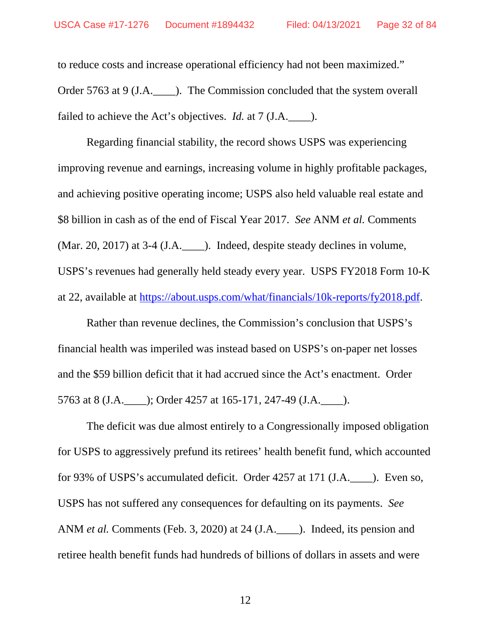to reduce costs and increase operational efficiency had not been maximized." Order 5763 at 9 (J.A.  $\qquad$  ). The Commission concluded that the system overall failed to achieve the Act's objectives. *Id.* at 7 (J.A.  $\qquad$ ).

Regarding financial stability, the record shows USPS was experiencing improving revenue and earnings, increasing volume in highly profitable packages, and achieving positive operating income; USPS also held valuable real estate and \$8 billion in cash as of the end of Fiscal Year 2017. *See* ANM *et al.* Comments (Mar. 20, 2017) at 3-4 (J.A.\_\_\_\_). Indeed, despite steady declines in volume, USPS's revenues had generally held steady every year. USPS FY2018 Form 10-K at 22, available at https://about.usps.com/what/financials/10k-reports/fy2018.pdf.

Rather than revenue declines, the Commission's conclusion that USPS's financial health was imperiled was instead based on USPS's on-paper net losses and the \$59 billion deficit that it had accrued since the Act's enactment. Order 5763 at 8 (J.A.\_\_\_\_); Order 4257 at 165-171, 247-49 (J.A.\_\_\_\_).

The deficit was due almost entirely to a Congressionally imposed obligation for USPS to aggressively prefund its retirees' health benefit fund, which accounted for 93% of USPS's accumulated deficit. Order 4257 at 171 (J.A.\_\_\_\_). Even so, USPS has not suffered any consequences for defaulting on its payments. *See*  ANM *et al.* Comments (Feb. 3, 2020) at 24 (J.A. ). Indeed, its pension and retiree health benefit funds had hundreds of billions of dollars in assets and were

12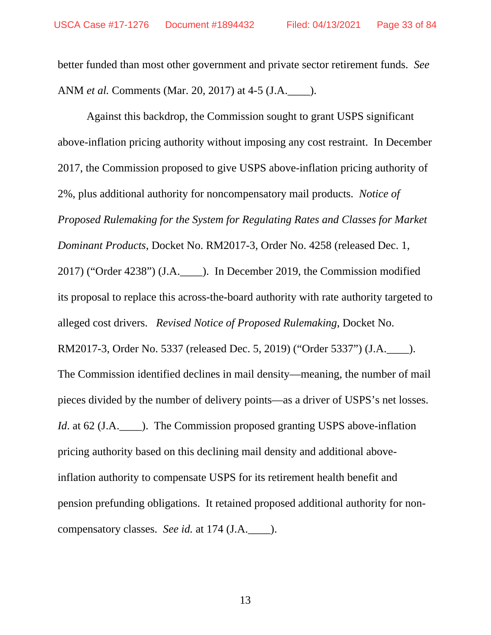better funded than most other government and private sector retirement funds. *See*  ANM *et al.* Comments (Mar. 20, 2017) at 4-5 (J.A.\_\_\_\_).

Against this backdrop, the Commission sought to grant USPS significant above-inflation pricing authority without imposing any cost restraint. In December 2017, the Commission proposed to give USPS above-inflation pricing authority of 2%, plus additional authority for noncompensatory mail products. *Notice of Proposed Rulemaking for the System for Regulating Rates and Classes for Market Dominant Products*, Docket No. RM2017-3, Order No. 4258 (released Dec. 1, 2017) ("Order 4238") (J.A.\_\_\_\_). In December 2019, the Commission modified its proposal to replace this across-the-board authority with rate authority targeted to alleged cost drivers. *Revised Notice of Proposed Rulemaking*, Docket No. RM2017-3, Order No. 5337 (released Dec. 5, 2019) ("Order 5337") (J.A.\_\_\_\_). The Commission identified declines in mail density—meaning, the number of mail pieces divided by the number of delivery points—as a driver of USPS's net losses. *Id.* at 62 (J.A.  $\Box$ ). The Commission proposed granting USPS above-inflation pricing authority based on this declining mail density and additional aboveinflation authority to compensate USPS for its retirement health benefit and pension prefunding obligations. It retained proposed additional authority for noncompensatory classes. *See id.* at 174 (J.A.\_\_\_\_).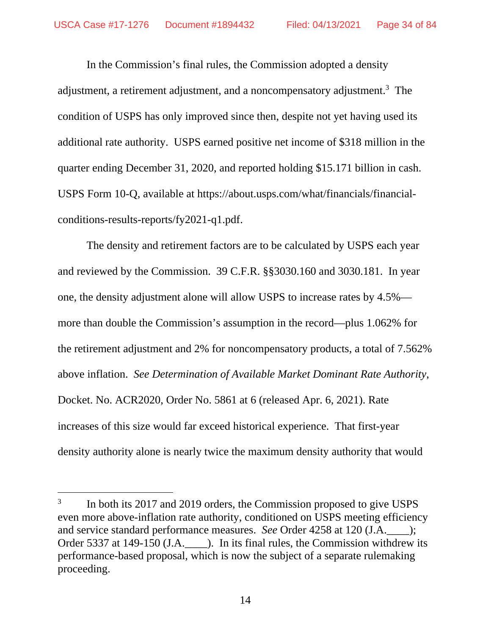In the Commission's final rules, the Commission adopted a density adjustment, a retirement adjustment, and a noncompensatory adjustment.<sup>3</sup> The condition of USPS has only improved since then, despite not yet having used its additional rate authority. USPS earned positive net income of \$318 million in the quarter ending December 31, 2020, and reported holding \$15.171 billion in cash. USPS Form 10-Q, available at https://about.usps.com/what/financials/financialconditions-results-reports/fy2021-q1.pdf.

The density and retirement factors are to be calculated by USPS each year and reviewed by the Commission. 39 C.F.R. §§3030.160 and 3030.181. In year one, the density adjustment alone will allow USPS to increase rates by 4.5% more than double the Commission's assumption in the record—plus 1.062% for the retirement adjustment and 2% for noncompensatory products, a total of 7.562% above inflation. *See Determination of Available Market Dominant Rate Authority*, Docket. No. ACR2020, Order No. 5861 at 6 (released Apr. 6, 2021). Rate increases of this size would far exceed historical experience. That first-year density authority alone is nearly twice the maximum density authority that would

<sup>3</sup> In both its 2017 and 2019 orders, the Commission proposed to give USPS even more above-inflation rate authority, conditioned on USPS meeting efficiency and service standard performance measures. *See* Order 4258 at 120 (J.A.\_\_\_\_); Order 5337 at 149-150 (J.A. ). In its final rules, the Commission withdrew its performance-based proposal, which is now the subject of a separate rulemaking proceeding.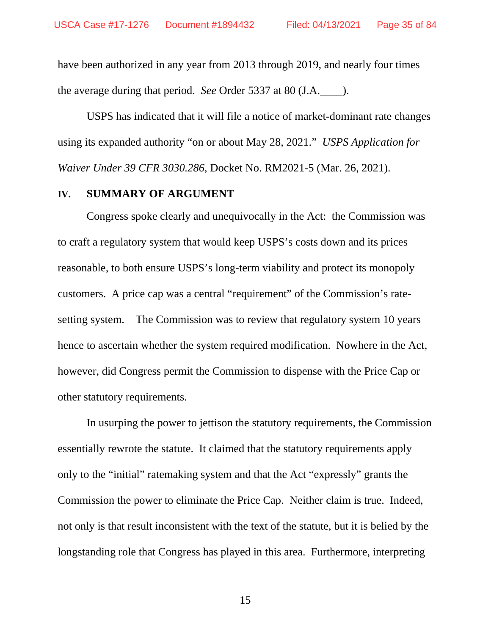have been authorized in any year from 2013 through 2019, and nearly four times the average during that period. *See* Order 5337 at 80 (J.A.\_\_\_\_).

USPS has indicated that it will file a notice of market-dominant rate changes using its expanded authority "on or about May 28, 2021." *USPS Application for Waiver Under 39 CFR 3030.286*, Docket No. RM2021-5 (Mar. 26, 2021).

### **IV. SUMMARY OF ARGUMENT**

Congress spoke clearly and unequivocally in the Act: the Commission was to craft a regulatory system that would keep USPS's costs down and its prices reasonable, to both ensure USPS's long-term viability and protect its monopoly customers. A price cap was a central "requirement" of the Commission's ratesetting system. The Commission was to review that regulatory system 10 years hence to ascertain whether the system required modification. Nowhere in the Act, however, did Congress permit the Commission to dispense with the Price Cap or other statutory requirements.

In usurping the power to jettison the statutory requirements, the Commission essentially rewrote the statute. It claimed that the statutory requirements apply only to the "initial" ratemaking system and that the Act "expressly" grants the Commission the power to eliminate the Price Cap. Neither claim is true. Indeed, not only is that result inconsistent with the text of the statute, but it is belied by the longstanding role that Congress has played in this area. Furthermore, interpreting

15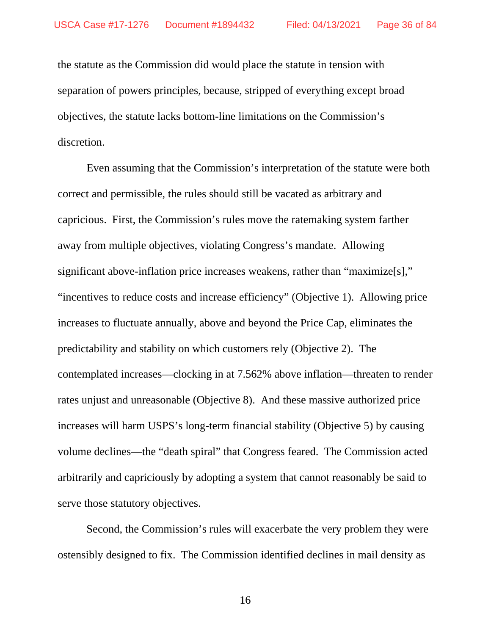the statute as the Commission did would place the statute in tension with separation of powers principles, because, stripped of everything except broad objectives, the statute lacks bottom-line limitations on the Commission's discretion.

Even assuming that the Commission's interpretation of the statute were both correct and permissible, the rules should still be vacated as arbitrary and capricious. First, the Commission's rules move the ratemaking system farther away from multiple objectives, violating Congress's mandate. Allowing significant above-inflation price increases weakens, rather than "maximize[s]," "incentives to reduce costs and increase efficiency" (Objective 1). Allowing price increases to fluctuate annually, above and beyond the Price Cap, eliminates the predictability and stability on which customers rely (Objective 2). The contemplated increases—clocking in at 7.562% above inflation—threaten to render rates unjust and unreasonable (Objective 8). And these massive authorized price increases will harm USPS's long-term financial stability (Objective 5) by causing volume declines—the "death spiral" that Congress feared. The Commission acted arbitrarily and capriciously by adopting a system that cannot reasonably be said to serve those statutory objectives.

Second, the Commission's rules will exacerbate the very problem they were ostensibly designed to fix. The Commission identified declines in mail density as

16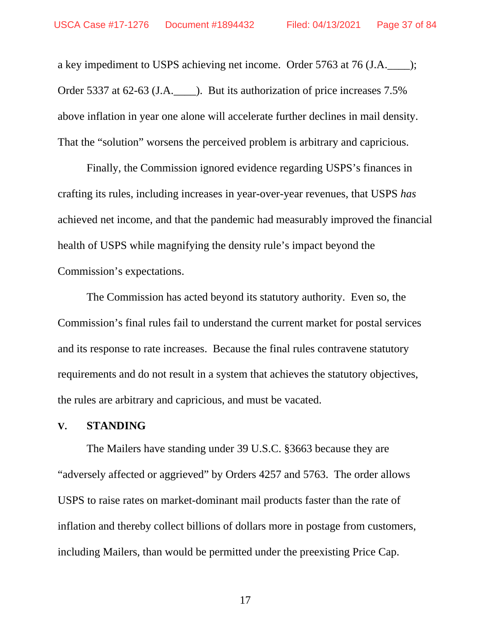a key impediment to USPS achieving net income. Order 5763 at 76 (J.A.\_\_\_\_); Order 5337 at 62-63 (J.A.\_\_\_\_). But its authorization of price increases 7.5% above inflation in year one alone will accelerate further declines in mail density. That the "solution" worsens the perceived problem is arbitrary and capricious.

Finally, the Commission ignored evidence regarding USPS's finances in crafting its rules, including increases in year-over-year revenues, that USPS *has*  achieved net income, and that the pandemic had measurably improved the financial health of USPS while magnifying the density rule's impact beyond the Commission's expectations.

The Commission has acted beyond its statutory authority. Even so, the Commission's final rules fail to understand the current market for postal services and its response to rate increases. Because the final rules contravene statutory requirements and do not result in a system that achieves the statutory objectives, the rules are arbitrary and capricious, and must be vacated.

#### **V. STANDING**

The Mailers have standing under 39 U.S.C. §3663 because they are "adversely affected or aggrieved" by Orders 4257 and 5763. The order allows USPS to raise rates on market-dominant mail products faster than the rate of inflation and thereby collect billions of dollars more in postage from customers, including Mailers, than would be permitted under the preexisting Price Cap.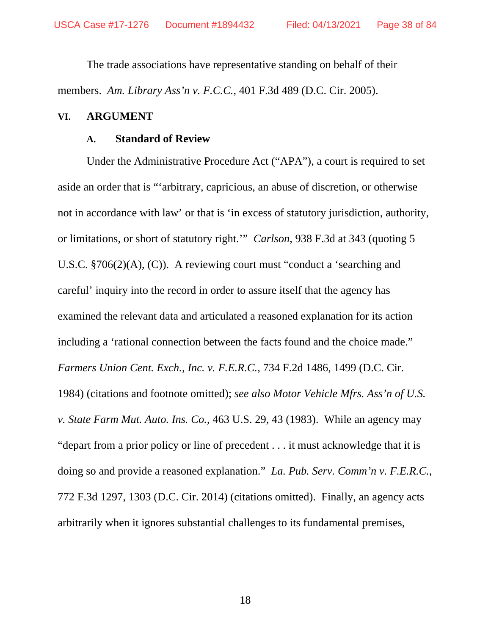The trade associations have representative standing on behalf of their members. *Am. Library Ass'n v. F.C.C.*, 401 F.3d 489 (D.C. Cir. 2005).

#### **VI. ARGUMENT**

#### **A. Standard of Review**

Under the Administrative Procedure Act ("APA"), a court is required to set aside an order that is "'arbitrary, capricious, an abuse of discretion, or otherwise not in accordance with law' or that is 'in excess of statutory jurisdiction, authority, or limitations, or short of statutory right.'" *Carlson*, 938 F.3d at 343 (quoting 5 U.S.C. §706(2)(A), (C)). A reviewing court must "conduct a 'searching and careful' inquiry into the record in order to assure itself that the agency has examined the relevant data and articulated a reasoned explanation for its action including a 'rational connection between the facts found and the choice made." *Farmers Union Cent. Exch., Inc. v. F.E.R.C.*, 734 F.2d 1486, 1499 (D.C. Cir. 1984) (citations and footnote omitted); *see also Motor Vehicle Mfrs. Ass'n of U.S. v. State Farm Mut. Auto. Ins. Co.*, 463 U.S. 29, 43 (1983). While an agency may "depart from a prior policy or line of precedent . . . it must acknowledge that it is doing so and provide a reasoned explanation." *La. Pub. Serv. Comm'n v. F.E.R.C.*, 772 F.3d 1297, 1303 (D.C. Cir. 2014) (citations omitted). Finally, an agency acts arbitrarily when it ignores substantial challenges to its fundamental premises,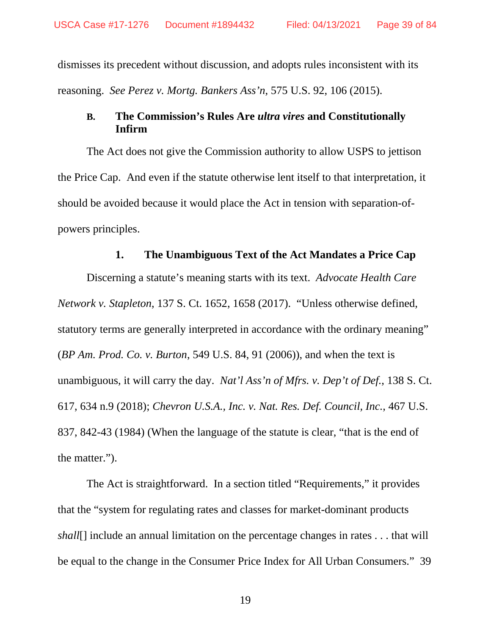dismisses its precedent without discussion, and adopts rules inconsistent with its reasoning. *See Perez v. Mortg. Bankers Ass'n*, 575 U.S. 92, 106 (2015).

### **B. The Commission's Rules Are** *ultra vires* **and Constitutionally Infirm**

The Act does not give the Commission authority to allow USPS to jettison the Price Cap. And even if the statute otherwise lent itself to that interpretation, it should be avoided because it would place the Act in tension with separation-ofpowers principles.

### **1. The Unambiguous Text of the Act Mandates a Price Cap**

Discerning a statute's meaning starts with its text. *Advocate Health Care Network v. Stapleton*, 137 S. Ct. 1652, 1658 (2017). "Unless otherwise defined, statutory terms are generally interpreted in accordance with the ordinary meaning" (*BP Am. Prod. Co. v. Burton*, 549 U.S. 84, 91 (2006)), and when the text is unambiguous, it will carry the day. *Nat'l Ass'n of Mfrs. v. Dep't of Def.*, 138 S. Ct. 617, 634 n.9 (2018); *Chevron U.S.A., Inc. v. Nat. Res. Def. Council, Inc.*, 467 U.S. 837, 842-43 (1984) (When the language of the statute is clear, "that is the end of the matter.").

The Act is straightforward. In a section titled "Requirements," it provides that the "system for regulating rates and classes for market-dominant products *shall*[] include an annual limitation on the percentage changes in rates . . . that will be equal to the change in the Consumer Price Index for All Urban Consumers." 39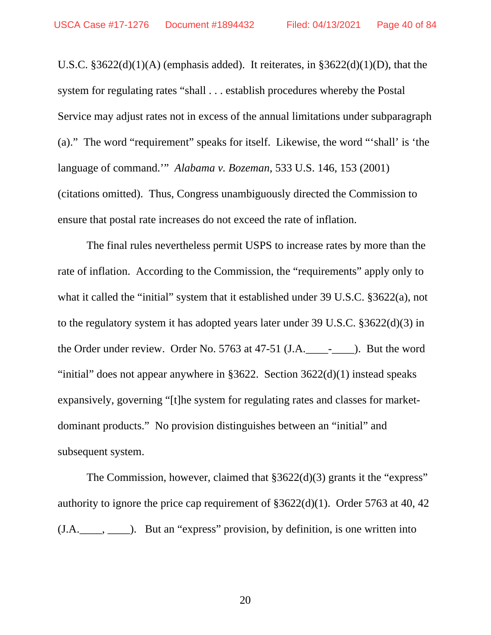U.S.C.  $§3622(d)(1)(A)$  (emphasis added). It reiterates, in  $§3622(d)(1)(D)$ , that the system for regulating rates "shall . . . establish procedures whereby the Postal Service may adjust rates not in excess of the annual limitations under subparagraph (a)." The word "requirement" speaks for itself.Likewise, the word "'shall' is 'the language of command.'" *Alabama v. Bozeman*, 533 U.S. 146, 153 (2001) (citations omitted). Thus, Congress unambiguously directed the Commission to ensure that postal rate increases do not exceed the rate of inflation.

The final rules nevertheless permit USPS to increase rates by more than the rate of inflation. According to the Commission, the "requirements" apply only to what it called the "initial" system that it established under 39 U.S.C. §3622(a), not to the regulatory system it has adopted years later under 39 U.S.C. §3622(d)(3) in the Order under review. Order No. 5763 at 47-51 (J.A. - ). But the word "initial" does not appear anywhere in  $\S 3622$ . Section  $3622(d)(1)$  instead speaks expansively, governing "[t]he system for regulating rates and classes for marketdominant products." No provision distinguishes between an "initial" and subsequent system.

The Commission, however, claimed that §3622(d)(3) grants it the "express" authority to ignore the price cap requirement of §3622(d)(1). Order 5763 at 40, 42  $(J.A.\_\_\_\_$ ,  $\_\_\_)$ . But an "express" provision, by definition, is one written into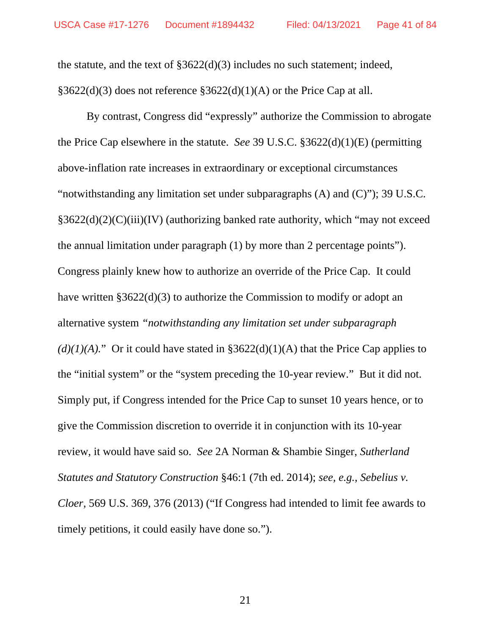the statute, and the text of §3622(d)(3) includes no such statement; indeed, §3622(d)(3) does not reference §3622(d)(1)(A) or the Price Cap at all.

By contrast, Congress did "expressly" authorize the Commission to abrogate the Price Cap elsewhere in the statute. *See* 39 U.S.C. §3622(d)(1)(E) (permitting above-inflation rate increases in extraordinary or exceptional circumstances "notwithstanding any limitation set under subparagraphs (A) and (C)"); 39 U.S.C. §3622(d)(2)(C)(iii)(IV) (authorizing banked rate authority, which "may not exceed the annual limitation under paragraph (1) by more than 2 percentage points"). Congress plainly knew how to authorize an override of the Price Cap. It could have written §3622(d)(3) to authorize the Commission to modify or adopt an alternative system *"notwithstanding any limitation set under subparagraph*   $(d)(1)(A)$ ." Or it could have stated in §3622(d)(1)(A) that the Price Cap applies to the "initial system" or the "system preceding the 10-year review." But it did not. Simply put, if Congress intended for the Price Cap to sunset 10 years hence, or to give the Commission discretion to override it in conjunction with its 10-year review, it would have said so. *See* 2A Norman & Shambie Singer, *Sutherland Statutes and Statutory Construction* §46:1 (7th ed. 2014); *see, e.g.*, *Sebelius v. Cloer*, 569 U.S. 369, 376 (2013) ("If Congress had intended to limit fee awards to timely petitions, it could easily have done so.").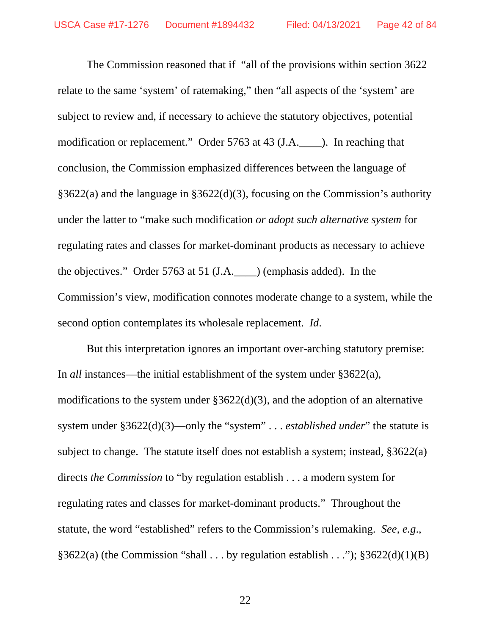The Commission reasoned that if "all of the provisions within section 3622 relate to the same 'system' of ratemaking," then "all aspects of the 'system' are subject to review and, if necessary to achieve the statutory objectives, potential modification or replacement." Order 5763 at 43 (J.A.\_\_\_\_). In reaching that conclusion, the Commission emphasized differences between the language of §3622(a) and the language in §3622(d)(3), focusing on the Commission's authority under the latter to "make such modification *or adopt such alternative system* for regulating rates and classes for market-dominant products as necessary to achieve the objectives." Order 5763 at 51 (J.A.\_\_\_\_) (emphasis added). In the Commission's view, modification connotes moderate change to a system, while the second option contemplates its wholesale replacement. *Id*.

But this interpretation ignores an important over-arching statutory premise: In *all* instances—the initial establishment of the system under §3622(a), modifications to the system under §3622(d)(3), and the adoption of an alternative system under §3622(d)(3)—only the "system" . . . *established under*" the statute is subject to change. The statute itself does not establish a system; instead, §3622(a) directs *the Commission* to "by regulation establish . . . a modern system for regulating rates and classes for market-dominant products." Throughout the statute, the word "established" refers to the Commission's rulemaking. *See, e.g*.,  $§3622(a)$  (the Commission "shall . . . by regulation establish . . .");  $§3622(d)(1)(B)$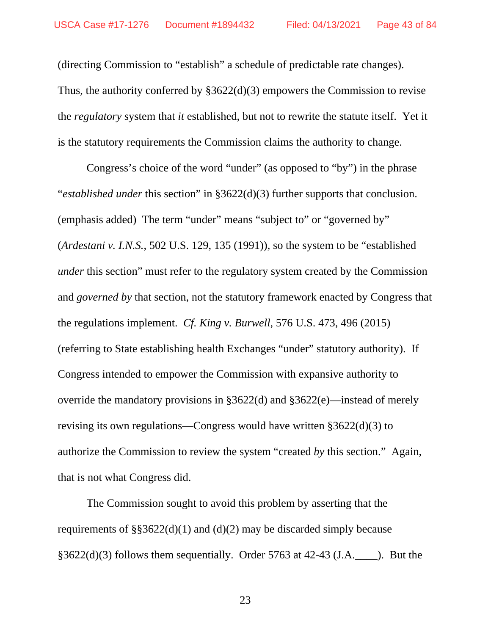(directing Commission to "establish" a schedule of predictable rate changes). Thus, the authority conferred by §3622(d)(3) empowers the Commission to revise the *regulatory* system that *it* established, but not to rewrite the statute itself. Yet it is the statutory requirements the Commission claims the authority to change.

Congress's choice of the word "under" (as opposed to "by") in the phrase "*established under* this section" in §3622(d)(3) further supports that conclusion. (emphasis added) The term "under" means "subject to" or "governed by" (*Ardestani v. I.N.S.*, 502 U.S. 129, 135 (1991)), so the system to be "established *under* this section" must refer to the regulatory system created by the Commission and *governed by* that section, not the statutory framework enacted by Congress that the regulations implement. *Cf. King v. Burwell*, 576 U.S. 473, 496 (2015) (referring to State establishing health Exchanges "under" statutory authority). If Congress intended to empower the Commission with expansive authority to override the mandatory provisions in §3622(d) and §3622(e)—instead of merely revising its own regulations—Congress would have written §3622(d)(3) to authorize the Commission to review the system "created *by* this section." Again, that is not what Congress did.

The Commission sought to avoid this problem by asserting that the requirements of  $\S$ §3622(d)(1) and (d)(2) may be discarded simply because  $§3622(d)(3)$  follows them sequentially. Order 5763 at 42-43 (J.A.  $\qquad$ ). But the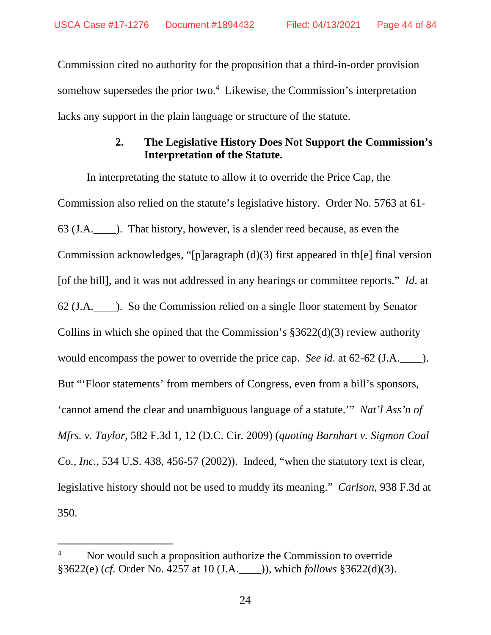Commission cited no authority for the proposition that a third-in-order provision somehow supersedes the prior two.<sup>4</sup> Likewise, the Commission's interpretation lacks any support in the plain language or structure of the statute.

# **2. The Legislative History Does Not Support the Commission's Interpretation of the Statute.**

In interpretating the statute to allow it to override the Price Cap, the Commission also relied on the statute's legislative history. Order No. 5763 at 61- 63 (J.A.\_\_\_\_). That history, however, is a slender reed because, as even the Commission acknowledges, "[p]aragraph (d)(3) first appeared in th[e] final version [of the bill], and it was not addressed in any hearings or committee reports." *Id*. at 62 (J.A.\_\_\_\_). So the Commission relied on a single floor statement by Senator Collins in which she opined that the Commission's  $\S 3622(d)(3)$  review authority would encompass the power to override the price cap. *See id*. at 62-62 (J.A.\_\_\_\_). But "'Floor statements' from members of Congress, even from a bill's sponsors, 'cannot amend the clear and unambiguous language of a statute.'" *Nat'l Ass'n of Mfrs. v. Taylor*, 582 F.3d 1, 12 (D.C. Cir. 2009) (*quoting Barnhart v. Sigmon Coal Co., Inc.*, 534 U.S. 438, 456-57 (2002)). Indeed, "when the statutory text is clear, legislative history should not be used to muddy its meaning." *Carlson,* 938 F.3d at 350.

<sup>4</sup> Nor would such a proposition authorize the Commission to override §3622(e) (*cf.* Order No. 4257 at 10 (J.A.\_\_\_\_)), which *follows* §3622(d)(3).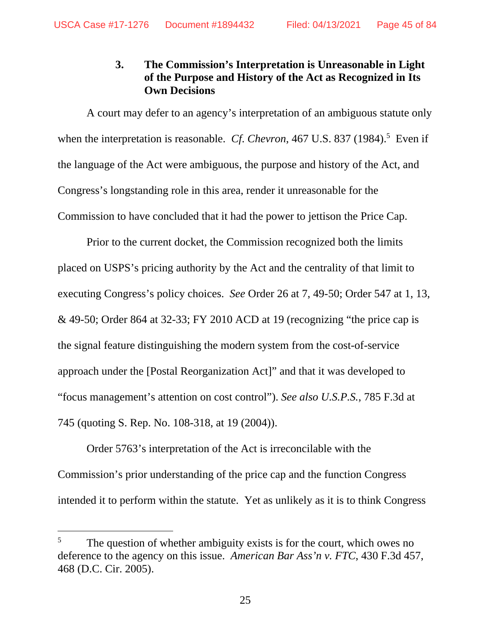# **3. The Commission's Interpretation is Unreasonable in Light of the Purpose and History of the Act as Recognized in Its Own Decisions**

A court may defer to an agency's interpretation of an ambiguous statute only when the interpretation is reasonable. *Cf. Chevron*, 467 U.S. 837 (1984).<sup>5</sup> Even if the language of the Act were ambiguous, the purpose and history of the Act, and Congress's longstanding role in this area, render it unreasonable for the Commission to have concluded that it had the power to jettison the Price Cap.

Prior to the current docket, the Commission recognized both the limits placed on USPS's pricing authority by the Act and the centrality of that limit to executing Congress's policy choices. *See* Order 26 at 7, 49-50; Order 547 at 1, 13, & 49-50; Order 864 at 32-33; FY 2010 ACD at 19 (recognizing "the price cap is the signal feature distinguishing the modern system from the cost-of-service approach under the [Postal Reorganization Act]" and that it was developed to "focus management's attention on cost control"). *See also U.S.P.S.*, 785 F.3d at 745 (quoting S. Rep. No. 108-318, at 19 (2004)).

Order 5763's interpretation of the Act is irreconcilable with the Commission's prior understanding of the price cap and the function Congress intended it to perform within the statute. Yet as unlikely as it is to think Congress

<sup>5</sup> The question of whether ambiguity exists is for the court, which owes no deference to the agency on this issue. *American Bar Ass'n v. FTC*, 430 F.3d 457, 468 (D.C. Cir. 2005).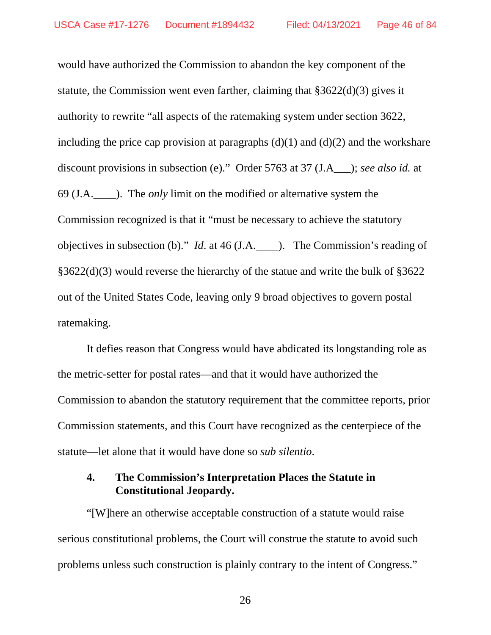would have authorized the Commission to abandon the key component of the statute, the Commission went even farther, claiming that §3622(d)(3) gives it authority to rewrite "all aspects of the ratemaking system under section 3622, including the price cap provision at paragraphs  $(d)(1)$  and  $(d)(2)$  and the workshare discount provisions in subsection (e)." Order 5763 at 37 (J.A\_\_\_); *see also id.* at 69 (J.A.\_\_\_\_). The *only* limit on the modified or alternative system the Commission recognized is that it "must be necessary to achieve the statutory objectives in subsection (b)." *Id*. at 46 (J.A.\_\_\_\_). The Commission's reading of §3622(d)(3) would reverse the hierarchy of the statue and write the bulk of §3622 out of the United States Code, leaving only 9 broad objectives to govern postal ratemaking.

It defies reason that Congress would have abdicated its longstanding role as the metric-setter for postal rates—and that it would have authorized the Commission to abandon the statutory requirement that the committee reports, prior Commission statements, and this Court have recognized as the centerpiece of the statute—let alone that it would have done so *sub silentio*.

### **4. The Commission's Interpretation Places the Statute in Constitutional Jeopardy.**

"[W]here an otherwise acceptable construction of a statute would raise serious constitutional problems, the Court will construe the statute to avoid such problems unless such construction is plainly contrary to the intent of Congress."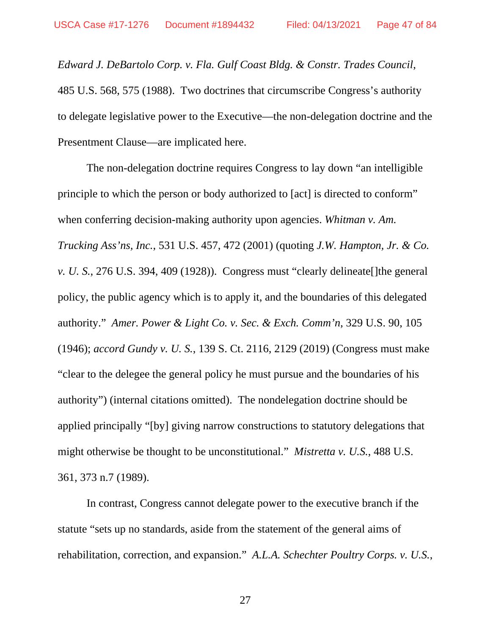*Edward J. DeBartolo Corp. v. Fla. Gulf Coast Bldg. & Constr. Trades Council*, 485 U.S. 568, 575 (1988). Two doctrines that circumscribe Congress's authority to delegate legislative power to the Executive—the non-delegation doctrine and the Presentment Clause—are implicated here.

The non-delegation doctrine requires Congress to lay down "an intelligible principle to which the person or body authorized to [act] is directed to conform" when conferring decision-making authority upon agencies. *Whitman v. Am. Trucking Ass'ns, Inc.*, 531 U.S. 457, 472 (2001) (quoting *J.W. Hampton, Jr. & Co. v. U. S.*, 276 U.S. 394, 409 (1928)). Congress must "clearly delineate[]the general policy, the public agency which is to apply it, and the boundaries of this delegated authority." *Amer. Power & Light Co. v. Sec. & Exch. Comm'n*, 329 U.S. 90, 105 (1946); *accord Gundy v. U. S.*, 139 S. Ct. 2116, 2129 (2019) (Congress must make "clear to the delegee the general policy he must pursue and the boundaries of his authority") (internal citations omitted). The nondelegation doctrine should be applied principally "[by] giving narrow constructions to statutory delegations that might otherwise be thought to be unconstitutional." *Mistretta v. U.S.*, 488 U.S. 361, 373 n.7 (1989).

In contrast, Congress cannot delegate power to the executive branch if the statute "sets up no standards, aside from the statement of the general aims of rehabilitation, correction, and expansion." *A.L.A. Schechter Poultry Corps. v. U.S.*,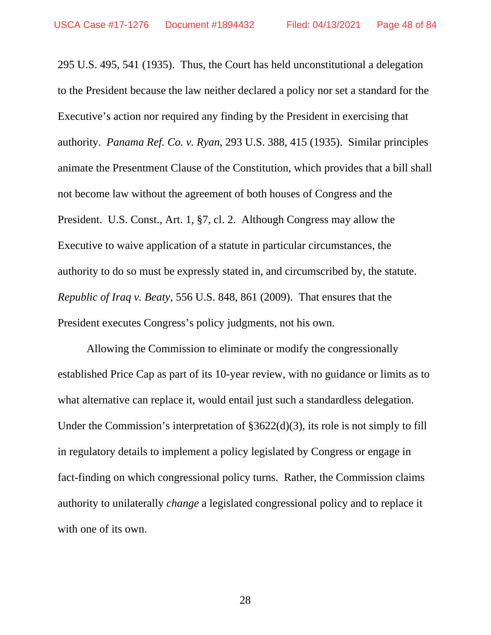295 U.S. 495, 541 (1935). Thus, the Court has held unconstitutional a delegation to the President because the law neither declared a policy nor set a standard for the Executive's action nor required any finding by the President in exercising that authority. *Panama Ref. Co. v. Ryan*, 293 U.S. 388, 415 (1935). Similar principles animate the Presentment Clause of the Constitution, which provides that a bill shall not become law without the agreement of both houses of Congress and the President. U.S. Const., Art. 1, §7, cl. 2. Although Congress may allow the Executive to waive application of a statute in particular circumstances, the authority to do so must be expressly stated in, and circumscribed by, the statute. *Republic of Iraq v. Beaty*, 556 U.S. 848, 861 (2009). That ensures that the President executes Congress's policy judgments, not his own.

Allowing the Commission to eliminate or modify the congressionally established Price Cap as part of its 10-year review, with no guidance or limits as to what alternative can replace it, would entail just such a standardless delegation. Under the Commission's interpretation of §3622(d)(3), its role is not simply to fill in regulatory details to implement a policy legislated by Congress or engage in fact-finding on which congressional policy turns. Rather, the Commission claims authority to unilaterally *change* a legislated congressional policy and to replace it with one of its own.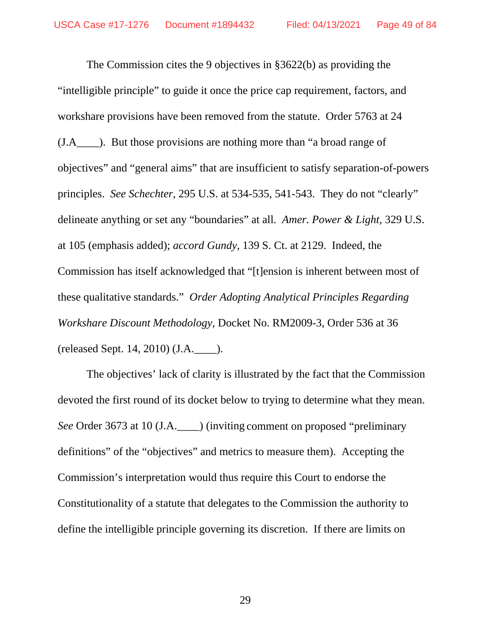The Commission cites the 9 objectives in §3622(b) as providing the "intelligible principle" to guide it once the price cap requirement, factors, and workshare provisions have been removed from the statute. Order 5763 at 24 (J.A\_\_\_\_). But those provisions are nothing more than "a broad range of objectives" and "general aims" that are insufficient to satisfy separation-of-powers principles. *See Schechter*, 295 U.S. at 534-535, 541-543. They do not "clearly" delineate anything or set any "boundaries" at all. *Amer. Power & Light*, 329 U.S. at 105 (emphasis added); *accord Gundy*, 139 S. Ct. at 2129. Indeed, the Commission has itself acknowledged that "[t]ension is inherent between most of these qualitative standards." *Order Adopting Analytical Principles Regarding Workshare Discount Methodology*, Docket No. RM2009-3, Order 536 at 36 (released Sept. 14, 2010) (J.A.\_\_\_\_).

The objectives' lack of clarity is illustrated by the fact that the Commission devoted the first round of its docket below to trying to determine what they mean. *See* Order 3673 at 10 (J.A.\_\_\_\_) (inviting comment on proposed "preliminary definitions" of the "objectives" and metrics to measure them). Accepting the Commission's interpretation would thus require this Court to endorse the Constitutionality of a statute that delegates to the Commission the authority to define the intelligible principle governing its discretion. If there are limits on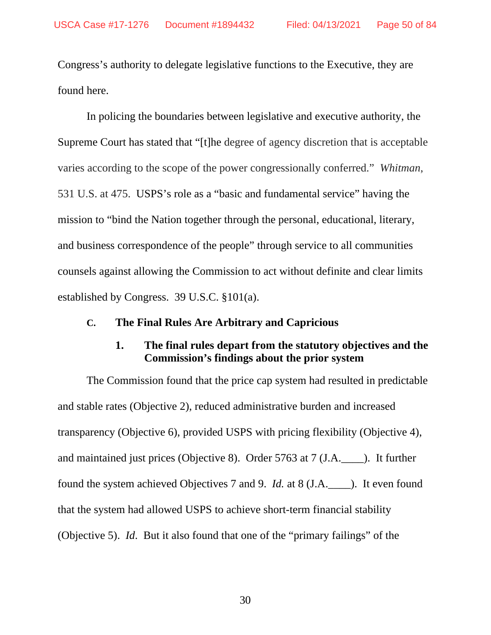Congress's authority to delegate legislative functions to the Executive, they are found here.

In policing the boundaries between legislative and executive authority, the Supreme Court has stated that "[t]he degree of agency discretion that is acceptable varies according to the scope of the power congressionally conferred." *Whitman*, 531 U.S. at 475. USPS's role as a "basic and fundamental service" having the mission to "bind the Nation together through the personal, educational, literary, and business correspondence of the people" through service to all communities counsels against allowing the Commission to act without definite and clear limits established by Congress. 39 U.S.C. §101(a).

#### **C. The Final Rules Are Arbitrary and Capricious**

### **1. The final rules depart from the statutory objectives and the Commission's findings about the prior system**

The Commission found that the price cap system had resulted in predictable and stable rates (Objective 2), reduced administrative burden and increased transparency (Objective 6), provided USPS with pricing flexibility (Objective 4), and maintained just prices (Objective 8). Order 5763 at 7 (J.A.\_\_\_\_). It further found the system achieved Objectives 7 and 9. *Id.* at 8 (J.A.\_\_\_\_). It even found that the system had allowed USPS to achieve short-term financial stability (Objective 5). *Id*. But it also found that one of the "primary failings" of the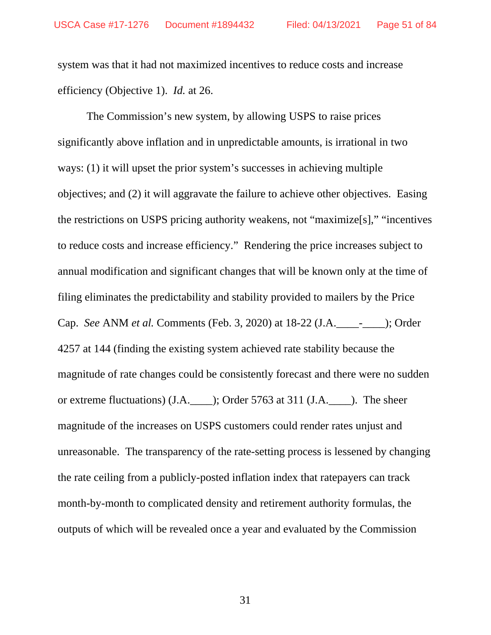system was that it had not maximized incentives to reduce costs and increase efficiency (Objective 1). *Id.* at 26.

The Commission's new system, by allowing USPS to raise prices significantly above inflation and in unpredictable amounts, is irrational in two ways: (1) it will upset the prior system's successes in achieving multiple objectives; and (2) it will aggravate the failure to achieve other objectives. Easing the restrictions on USPS pricing authority weakens, not "maximize[s]," "incentives to reduce costs and increase efficiency." Rendering the price increases subject to annual modification and significant changes that will be known only at the time of filing eliminates the predictability and stability provided to mailers by the Price Cap. *See* ANM *et al.* Comments (Feb. 3, 2020) at 18-22 (J.A.\_\_\_\_-\_\_\_\_); Order 4257 at 144 (finding the existing system achieved rate stability because the magnitude of rate changes could be consistently forecast and there were no sudden or extreme fluctuations) (J.A.\_\_\_\_); Order 5763 at 311 (J.A.\_\_\_\_). The sheer magnitude of the increases on USPS customers could render rates unjust and unreasonable. The transparency of the rate-setting process is lessened by changing the rate ceiling from a publicly-posted inflation index that ratepayers can track month-by-month to complicated density and retirement authority formulas, the outputs of which will be revealed once a year and evaluated by the Commission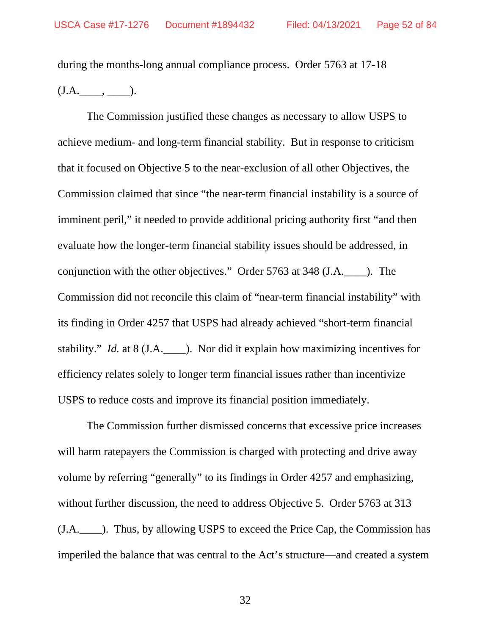during the months-long annual compliance process. Order 5763 at 17-18  $(J.A.$   $\qquad,$   $\qquad$ ).

The Commission justified these changes as necessary to allow USPS to achieve medium- and long-term financial stability. But in response to criticism that it focused on Objective 5 to the near-exclusion of all other Objectives, the Commission claimed that since "the near-term financial instability is a source of imminent peril," it needed to provide additional pricing authority first "and then evaluate how the longer-term financial stability issues should be addressed, in conjunction with the other objectives." Order 5763 at 348 (J.A.\_\_\_\_). The Commission did not reconcile this claim of "near-term financial instability" with its finding in Order 4257 that USPS had already achieved "short-term financial stability." *Id.* at 8 (J.A. ). Nor did it explain how maximizing incentives for efficiency relates solely to longer term financial issues rather than incentivize USPS to reduce costs and improve its financial position immediately.

The Commission further dismissed concerns that excessive price increases will harm rate payers the Commission is charged with protecting and drive away volume by referring "generally" to its findings in Order 4257 and emphasizing, without further discussion, the need to address Objective 5. Order 5763 at 313 (J.A.\_\_\_\_). Thus, by allowing USPS to exceed the Price Cap, the Commission has imperiled the balance that was central to the Act's structure—and created a system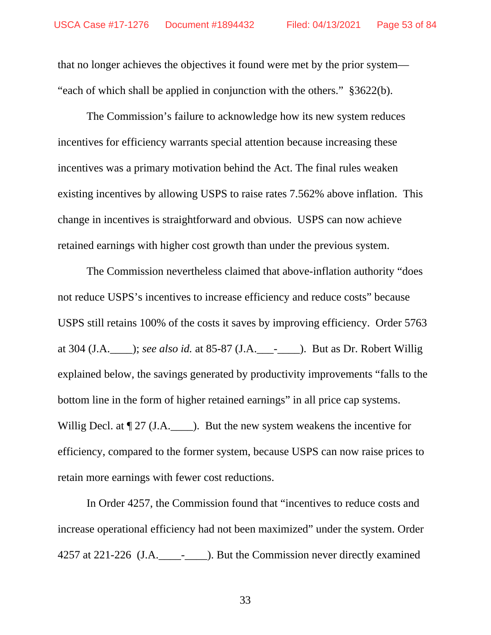that no longer achieves the objectives it found were met by the prior system— "each of which shall be applied in conjunction with the others." §3622(b).

The Commission's failure to acknowledge how its new system reduces incentives for efficiency warrants special attention because increasing these incentives was a primary motivation behind the Act. The final rules weaken existing incentives by allowing USPS to raise rates 7.562% above inflation. This change in incentives is straightforward and obvious. USPS can now achieve retained earnings with higher cost growth than under the previous system.

The Commission nevertheless claimed that above-inflation authority "does not reduce USPS's incentives to increase efficiency and reduce costs" because USPS still retains 100% of the costs it saves by improving efficiency. Order 5763 at 304 (J.A.\_\_\_\_); *see also id.* at 85-87 (J.A.\_\_\_-\_\_\_\_). But as Dr. Robert Willig explained below, the savings generated by productivity improvements "falls to the bottom line in the form of higher retained earnings" in all price cap systems. Willig Decl. at  $\lbrack 27 \rbrack$  (J.A. \_\_\_\_\_). But the new system weakens the incentive for efficiency, compared to the former system, because USPS can now raise prices to retain more earnings with fewer cost reductions.

In Order 4257, the Commission found that "incentives to reduce costs and increase operational efficiency had not been maximized" under the system. Order 4257 at 221-226 (J.A.\_\_\_\_-\_\_\_\_). But the Commission never directly examined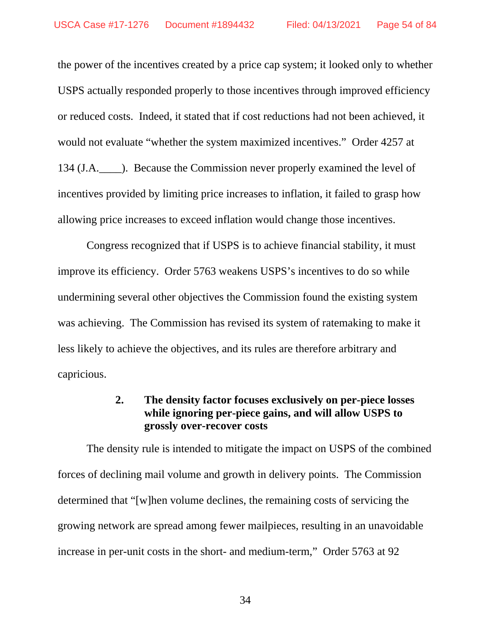the power of the incentives created by a price cap system; it looked only to whether USPS actually responded properly to those incentives through improved efficiency or reduced costs. Indeed, it stated that if cost reductions had not been achieved, it would not evaluate "whether the system maximized incentives." Order 4257 at 134 (J.A. ). Because the Commission never properly examined the level of incentives provided by limiting price increases to inflation, it failed to grasp how allowing price increases to exceed inflation would change those incentives.

Congress recognized that if USPS is to achieve financial stability, it must improve its efficiency. Order 5763 weakens USPS's incentives to do so while undermining several other objectives the Commission found the existing system was achieving. The Commission has revised its system of ratemaking to make it less likely to achieve the objectives, and its rules are therefore arbitrary and capricious.

# **2. The density factor focuses exclusively on per-piece losses while ignoring per-piece gains, and will allow USPS to grossly over-recover costs**

The density rule is intended to mitigate the impact on USPS of the combined forces of declining mail volume and growth in delivery points. The Commission determined that "[w]hen volume declines, the remaining costs of servicing the growing network are spread among fewer mailpieces, resulting in an unavoidable increase in per-unit costs in the short- and medium-term," Order 5763 at 92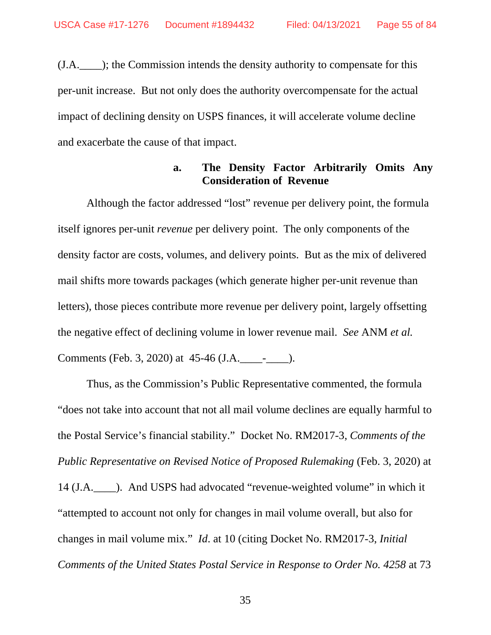(J.A.\_\_\_\_); the Commission intends the density authority to compensate for this per-unit increase. But not only does the authority overcompensate for the actual impact of declining density on USPS finances, it will accelerate volume decline and exacerbate the cause of that impact.

### **a. The Density Factor Arbitrarily Omits Any Consideration of Revenue**

Although the factor addressed "lost" revenue per delivery point, the formula itself ignores per-unit *revenue* per delivery point. The only components of the density factor are costs, volumes, and delivery points. But as the mix of delivered mail shifts more towards packages (which generate higher per-unit revenue than letters), those pieces contribute more revenue per delivery point, largely offsetting the negative effect of declining volume in lower revenue mail. *See* ANM *et al.*  Comments (Feb. 3, 2020) at 45-46 (J.A.\_\_\_\_-\_\_\_\_).

Thus, as the Commission's Public Representative commented, the formula "does not take into account that not all mail volume declines are equally harmful to the Postal Service's financial stability." Docket No. RM2017-3, *Comments of the Public Representative on Revised Notice of Proposed Rulemaking* (Feb. 3, 2020) at 14 (J.A.\_\_\_\_). And USPS had advocated "revenue-weighted volume" in which it "attempted to account not only for changes in mail volume overall, but also for changes in mail volume mix." *Id*. at 10 (citing Docket No. RM2017-3, *Initial Comments of the United States Postal Service in Response to Order No. 4258* at 73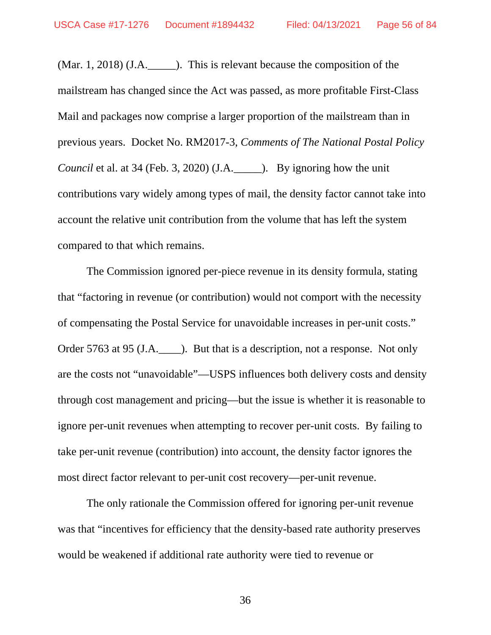(Mar. 1, 2018) (J.A.\_\_\_\_\_). This is relevant because the composition of the mailstream has changed since the Act was passed, as more profitable First-Class Mail and packages now comprise a larger proportion of the mailstream than in previous years. Docket No. RM2017-3, *Comments of The National Postal Policy Council* et al. at 34 (Feb. 3, 2020) (J.A. ). By ignoring how the unit contributions vary widely among types of mail, the density factor cannot take into account the relative unit contribution from the volume that has left the system compared to that which remains.

The Commission ignored per-piece revenue in its density formula, stating that "factoring in revenue (or contribution) would not comport with the necessity of compensating the Postal Service for unavoidable increases in per-unit costs." Order 5763 at 95 (J.A. ). But that is a description, not a response. Not only are the costs not "unavoidable"—USPS influences both delivery costs and density through cost management and pricing—but the issue is whether it is reasonable to ignore per-unit revenues when attempting to recover per-unit costs. By failing to take per-unit revenue (contribution) into account, the density factor ignores the most direct factor relevant to per-unit cost recovery—per-unit revenue.

The only rationale the Commission offered for ignoring per-unit revenue was that "incentives for efficiency that the density-based rate authority preserves would be weakened if additional rate authority were tied to revenue or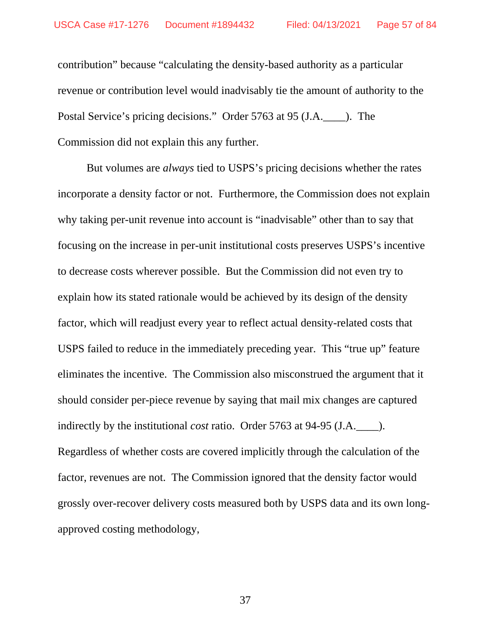contribution" because "calculating the density-based authority as a particular revenue or contribution level would inadvisably tie the amount of authority to the Postal Service's pricing decisions." Order 5763 at 95 (J.A.\_\_\_\_). The Commission did not explain this any further.

But volumes are *always* tied to USPS's pricing decisions whether the rates incorporate a density factor or not. Furthermore, the Commission does not explain why taking per-unit revenue into account is "inadvisable" other than to say that focusing on the increase in per-unit institutional costs preserves USPS's incentive to decrease costs wherever possible. But the Commission did not even try to explain how its stated rationale would be achieved by its design of the density factor, which will readjust every year to reflect actual density-related costs that USPS failed to reduce in the immediately preceding year. This "true up" feature eliminates the incentive. The Commission also misconstrued the argument that it should consider per-piece revenue by saying that mail mix changes are captured indirectly by the institutional *cost* ratio. Order 5763 at 94-95 (J.A.\_\_\_\_). Regardless of whether costs are covered implicitly through the calculation of the factor, revenues are not. The Commission ignored that the density factor would grossly over-recover delivery costs measured both by USPS data and its own longapproved costing methodology,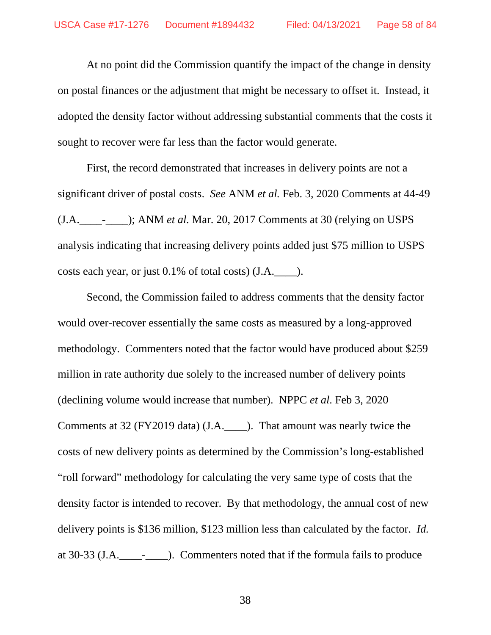At no point did the Commission quantify the impact of the change in density on postal finances or the adjustment that might be necessary to offset it. Instead, it adopted the density factor without addressing substantial comments that the costs it sought to recover were far less than the factor would generate.

First, the record demonstrated that increases in delivery points are not a significant driver of postal costs. *See* ANM *et al.* Feb. 3, 2020 Comments at 44-49 (J.A.\_\_\_\_-\_\_\_\_); ANM *et al.* Mar. 20, 2017 Comments at 30 (relying on USPS analysis indicating that increasing delivery points added just \$75 million to USPS costs each year, or just 0.1% of total costs) (J.A.\_\_\_\_).

Second, the Commission failed to address comments that the density factor would over-recover essentially the same costs as measured by a long-approved methodology. Commenters noted that the factor would have produced about \$259 million in rate authority due solely to the increased number of delivery points (declining volume would increase that number). NPPC *et al*. Feb 3, 2020 Comments at 32 (FY2019 data) (J.A.\_\_\_\_). That amount was nearly twice the costs of new delivery points as determined by the Commission's long-established "roll forward" methodology for calculating the very same type of costs that the density factor is intended to recover. By that methodology, the annual cost of new delivery points is \$136 million, \$123 million less than calculated by the factor. *Id.* at 30-33 (J.A.\_\_\_\_-\_\_\_\_). Commenters noted that if the formula fails to produce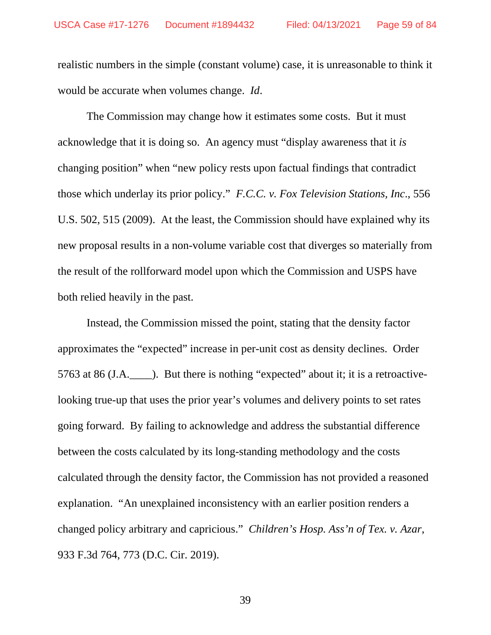realistic numbers in the simple (constant volume) case, it is unreasonable to think it would be accurate when volumes change. *Id*.

The Commission may change how it estimates some costs. But it must acknowledge that it is doing so. An agency must "display awareness that it *is* changing position" when "new policy rests upon factual findings that contradict those which underlay its prior policy." *F.C.C. v. Fox Television Stations, Inc*., 556 U.S. 502, 515 (2009). At the least, the Commission should have explained why its new proposal results in a non-volume variable cost that diverges so materially from the result of the rollforward model upon which the Commission and USPS have both relied heavily in the past.

Instead, the Commission missed the point, stating that the density factor approximates the "expected" increase in per-unit cost as density declines. Order 5763 at 86 (J.A.\_\_\_\_). But there is nothing "expected" about it; it is a retroactivelooking true-up that uses the prior year's volumes and delivery points to set rates going forward. By failing to acknowledge and address the substantial difference between the costs calculated by its long-standing methodology and the costs calculated through the density factor, the Commission has not provided a reasoned explanation. "An unexplained inconsistency with an earlier position renders a changed policy arbitrary and capricious." *Children's Hosp. Ass'n of Tex. v. Azar*, 933 F.3d 764, 773 (D.C. Cir. 2019).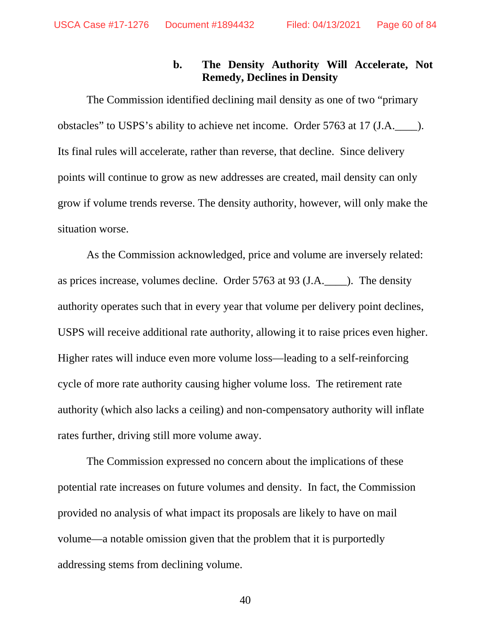# **b. The Density Authority Will Accelerate, Not Remedy, Declines in Density**

The Commission identified declining mail density as one of two "primary obstacles" to USPS's ability to achieve net income. Order 5763 at 17 (J.A.\_\_\_\_). Its final rules will accelerate, rather than reverse, that decline. Since delivery points will continue to grow as new addresses are created, mail density can only grow if volume trends reverse. The density authority, however, will only make the situation worse.

As the Commission acknowledged, price and volume are inversely related: as prices increase, volumes decline. Order 5763 at 93 (J.A.\_\_\_\_). The density authority operates such that in every year that volume per delivery point declines, USPS will receive additional rate authority, allowing it to raise prices even higher. Higher rates will induce even more volume loss—leading to a self-reinforcing cycle of more rate authority causing higher volume loss. The retirement rate authority (which also lacks a ceiling) and non-compensatory authority will inflate rates further, driving still more volume away.

The Commission expressed no concern about the implications of these potential rate increases on future volumes and density. In fact, the Commission provided no analysis of what impact its proposals are likely to have on mail volume—a notable omission given that the problem that it is purportedly addressing stems from declining volume.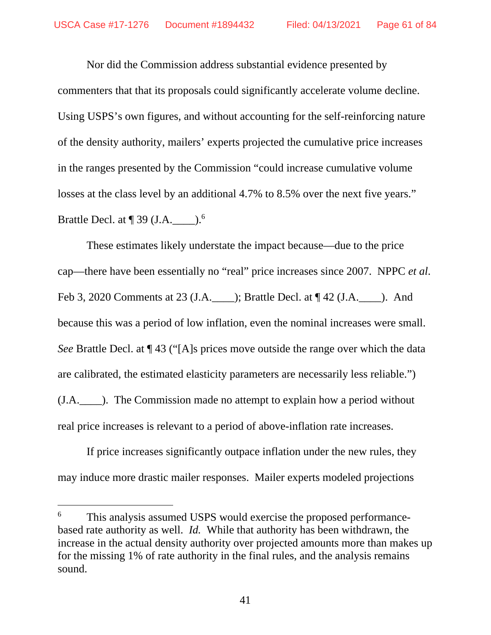Nor did the Commission address substantial evidence presented by commenters that that its proposals could significantly accelerate volume decline. Using USPS's own figures, and without accounting for the self-reinforcing nature of the density authority, mailers' experts projected the cumulative price increases in the ranges presented by the Commission "could increase cumulative volume losses at the class level by an additional 4.7% to 8.5% over the next five years." Brattle Decl. at  $\P$  39 (J.A.\_\_\_\_\_\_).<sup>6</sup>

These estimates likely understate the impact because—due to the price cap—there have been essentially no "real" price increases since 2007. NPPC *et al*. Feb 3, 2020 Comments at 23 (J.A.\_\_\_\_); Brattle Decl. at ¶ 42 (J.A.\_\_\_\_). And because this was a period of low inflation, even the nominal increases were small. *See* Brattle Decl. at ¶ 43 ("[A]s prices move outside the range over which the data are calibrated, the estimated elasticity parameters are necessarily less reliable.") (J.A.\_\_\_\_). The Commission made no attempt to explain how a period without real price increases is relevant to a period of above-inflation rate increases.

If price increases significantly outpace inflation under the new rules, they may induce more drastic mailer responses. Mailer experts modeled projections

<sup>6</sup> This analysis assumed USPS would exercise the proposed performancebased rate authority as well. *Id.* While that authority has been withdrawn, the increase in the actual density authority over projected amounts more than makes up for the missing 1% of rate authority in the final rules, and the analysis remains sound.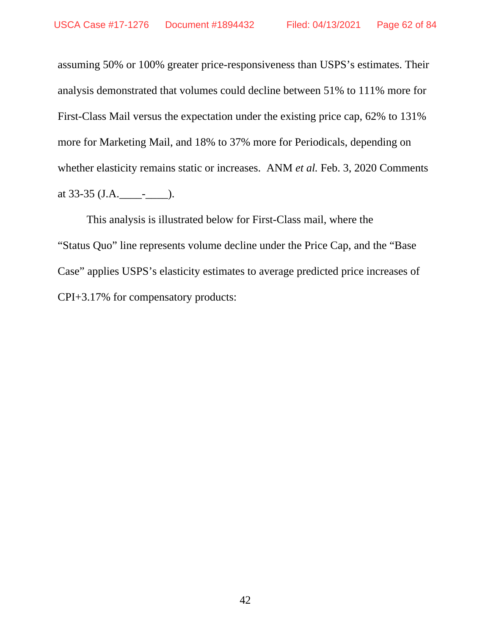assuming 50% or 100% greater price-responsiveness than USPS's estimates. Their analysis demonstrated that volumes could decline between 51% to 111% more for First-Class Mail versus the expectation under the existing price cap, 62% to 131% more for Marketing Mail, and 18% to 37% more for Periodicals, depending on whether elasticity remains static or increases. ANM *et al.* Feb. 3, 2020 Comments at 33-35 (J.A.\_\_\_\_-\_\_\_\_).

This analysis is illustrated below for First-Class mail, where the "Status Quo" line represents volume decline under the Price Cap, and the "Base Case" applies USPS's elasticity estimates to average predicted price increases of CPI+3.17% for compensatory products: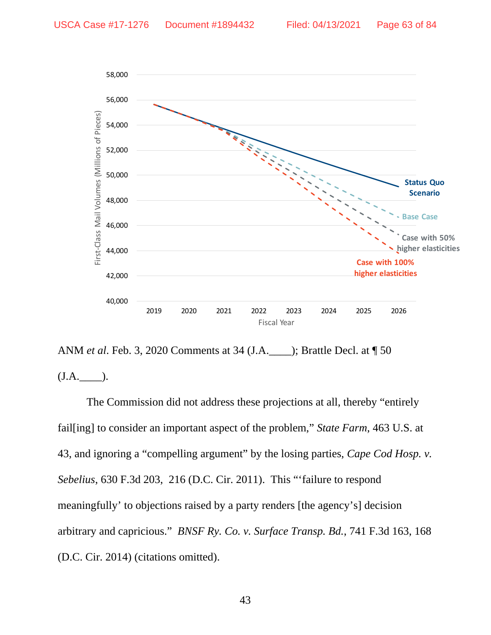



The Commission did not address these projections at all, thereby "entirely fail[ing] to consider an important aspect of the problem," *State Farm*, 463 U.S. at 43, and ignoring a "compelling argument" by the losing parties, *Cape Cod Hosp. v. Sebelius*, 630 F.3d 203, 216 (D.C. Cir. 2011). This "'failure to respond meaningfully' to objections raised by a party renders [the agency's] decision arbitrary and capricious." *BNSF Ry. Co. v. Surface Transp. Bd.*, 741 F.3d 163, 168 (D.C. Cir. 2014) (citations omitted).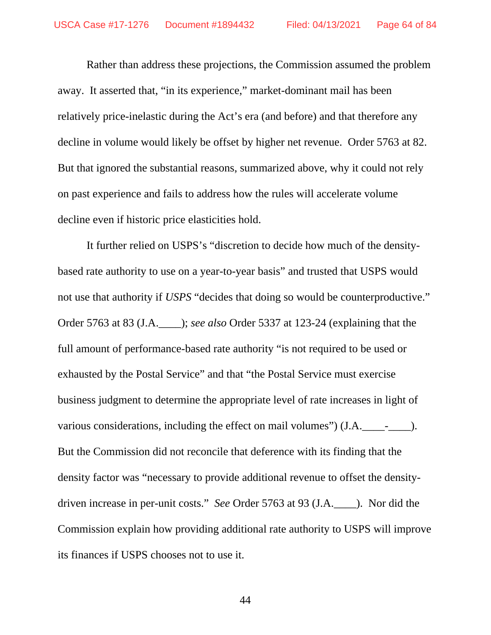Rather than address these projections, the Commission assumed the problem away. It asserted that, "in its experience," market-dominant mail has been relatively price-inelastic during the Act's era (and before) and that therefore any decline in volume would likely be offset by higher net revenue. Order 5763 at 82. But that ignored the substantial reasons, summarized above, why it could not rely on past experience and fails to address how the rules will accelerate volume decline even if historic price elasticities hold.

It further relied on USPS's "discretion to decide how much of the densitybased rate authority to use on a year-to-year basis" and trusted that USPS would not use that authority if *USPS* "decides that doing so would be counterproductive." Order 5763 at 83 (J.A.\_\_\_\_); *see also* Order 5337 at 123-24 (explaining that the full amount of performance-based rate authority "is not required to be used or exhausted by the Postal Service" and that "the Postal Service must exercise business judgment to determine the appropriate level of rate increases in light of various considerations, including the effect on mail volumes") (J.A. \_\_\_\_\_\_\_\_\_\_\_\_\_). But the Commission did not reconcile that deference with its finding that the density factor was "necessary to provide additional revenue to offset the densitydriven increase in per-unit costs." *See* Order 5763 at 93 (J.A.\_\_\_\_). Nor did the Commission explain how providing additional rate authority to USPS will improve its finances if USPS chooses not to use it.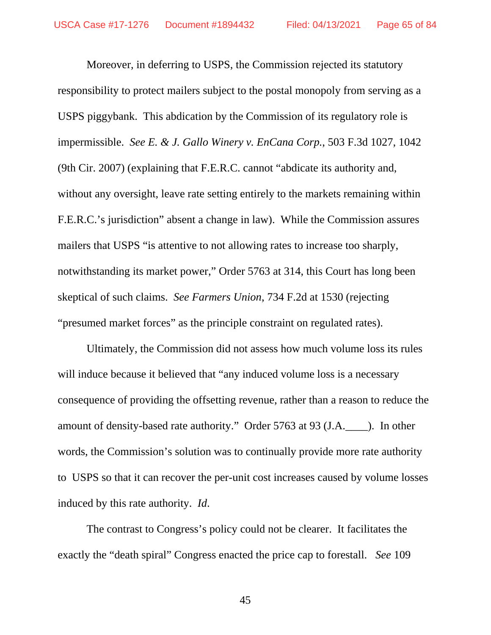Moreover, in deferring to USPS, the Commission rejected its statutory responsibility to protect mailers subject to the postal monopoly from serving as a USPS piggybank. This abdication by the Commission of its regulatory role is impermissible. *See E. & J. Gallo Winery v. EnCana Corp.*, 503 F.3d 1027, 1042 (9th Cir. 2007) (explaining that F.E.R.C. cannot "abdicate its authority and, without any oversight, leave rate setting entirely to the markets remaining within F.E.R.C.'s jurisdiction" absent a change in law). While the Commission assures mailers that USPS "is attentive to not allowing rates to increase too sharply, notwithstanding its market power," Order 5763 at 314, this Court has long been skeptical of such claims. *See Farmers Union*, 734 F.2d at 1530 (rejecting "presumed market forces" as the principle constraint on regulated rates).

Ultimately, the Commission did not assess how much volume loss its rules will induce because it believed that "any induced volume loss is a necessary consequence of providing the offsetting revenue, rather than a reason to reduce the amount of density-based rate authority." Order 5763 at 93 (J.A.\_\_\_\_). In other words, the Commission's solution was to continually provide more rate authority to USPS so that it can recover the per-unit cost increases caused by volume losses induced by this rate authority. *Id*.

The contrast to Congress's policy could not be clearer. It facilitates the exactly the "death spiral" Congress enacted the price cap to forestall. *See* 109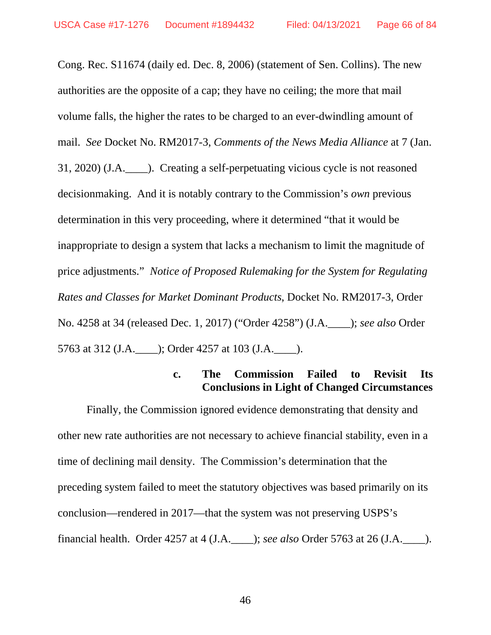Cong. Rec. S11674 (daily ed. Dec. 8, 2006) (statement of Sen. Collins). The new authorities are the opposite of a cap; they have no ceiling; the more that mail volume falls, the higher the rates to be charged to an ever-dwindling amount of mail. *See* Docket No. RM2017-3, *Comments of the News Media Alliance* at 7 (Jan. 31, 2020) (J.A.\_\_\_\_). Creating a self-perpetuating vicious cycle is not reasoned decisionmaking. And it is notably contrary to the Commission's *own* previous determination in this very proceeding, where it determined "that it would be inappropriate to design a system that lacks a mechanism to limit the magnitude of price adjustments." *Notice of Proposed Rulemaking for the System for Regulating Rates and Classes for Market Dominant Products*, Docket No. RM2017-3, Order No. 4258 at 34 (released Dec. 1, 2017) ("Order 4258") (J.A.\_\_\_\_); *see also* Order 5763 at 312 (J.A.\_\_\_\_); Order 4257 at 103 (J.A.\_\_\_\_).

### **c. The Commission Failed to Revisit Its Conclusions in Light of Changed Circumstances**

Finally, the Commission ignored evidence demonstrating that density and other new rate authorities are not necessary to achieve financial stability, even in a time of declining mail density. The Commission's determination that the preceding system failed to meet the statutory objectives was based primarily on its conclusion—rendered in 2017—that the system was not preserving USPS's financial health. Order 4257 at 4 (J.A.\_\_\_\_); *see also* Order 5763 at 26 (J.A.\_\_\_\_).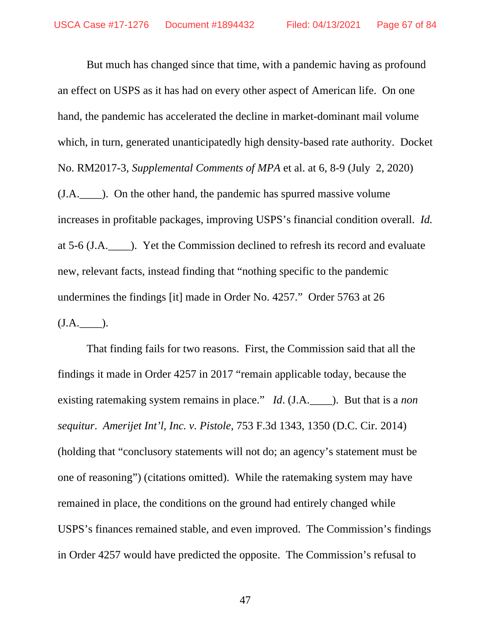But much has changed since that time, with a pandemic having as profound an effect on USPS as it has had on every other aspect of American life. On one hand, the pandemic has accelerated the decline in market-dominant mail volume which, in turn, generated unanticipatedly high density-based rate authority. Docket No. RM2017-3, *Supplemental Comments of MPA* et al. at 6, 8-9 (July 2, 2020) (J.A.\_\_\_\_). On the other hand, the pandemic has spurred massive volume increases in profitable packages, improving USPS's financial condition overall. *Id.*  at 5-6 (J.A.\_\_\_\_). Yet the Commission declined to refresh its record and evaluate new, relevant facts, instead finding that "nothing specific to the pandemic undermines the findings [it] made in Order No. 4257." Order 5763 at 26 (J.A.\_\_\_\_).

That finding fails for two reasons. First, the Commission said that all the findings it made in Order 4257 in 2017 "remain applicable today, because the existing ratemaking system remains in place." *Id*. (J.A.\_\_\_\_). But that is a *non sequitur*. *Amerijet Int'l, Inc. v. Pistole*, 753 F.3d 1343, 1350 (D.C. Cir. 2014) (holding that "conclusory statements will not do; an agency's statement must be one of reasoning") (citations omitted). While the ratemaking system may have remained in place, the conditions on the ground had entirely changed while USPS's finances remained stable, and even improved. The Commission's findings in Order 4257 would have predicted the opposite. The Commission's refusal to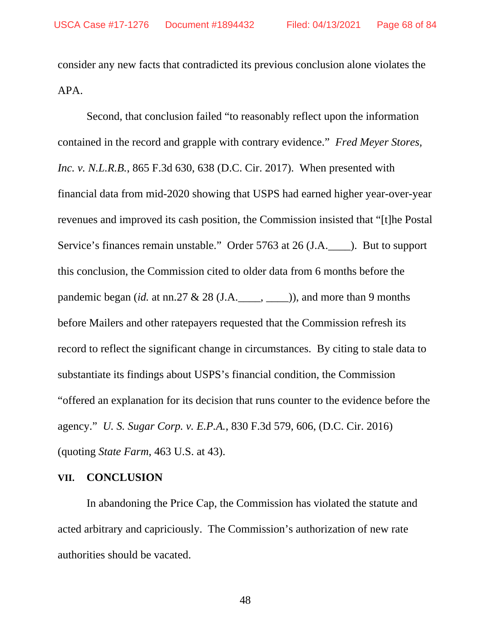consider any new facts that contradicted its previous conclusion alone violates the APA.

Second, that conclusion failed "to reasonably reflect upon the information contained in the record and grapple with contrary evidence." *Fred Meyer Stores, Inc. v. N.L.R.B.*, 865 F.3d 630, 638 (D.C. Cir. 2017). When presented with financial data from mid-2020 showing that USPS had earned higher year-over-year revenues and improved its cash position, the Commission insisted that "[t]he Postal Service's finances remain unstable." Order 5763 at 26 (J.A.\_\_\_\_). But to support this conclusion, the Commission cited to older data from 6 months before the pandemic began (*id.* at nn.27  $\&$  28 (J.A.\_\_\_, \_\_\_)), and more than 9 months before Mailers and other ratepayers requested that the Commission refresh its record to reflect the significant change in circumstances. By citing to stale data to substantiate its findings about USPS's financial condition, the Commission "offered an explanation for its decision that runs counter to the evidence before the agency." *U. S. Sugar Corp. v. E.P.A.*, 830 F.3d 579, 606, (D.C. Cir. 2016) (quoting *State Farm*, 463 U.S. at 43).

#### **VII. CONCLUSION**

In abandoning the Price Cap, the Commission has violated the statute and acted arbitrary and capriciously. The Commission's authorization of new rate authorities should be vacated.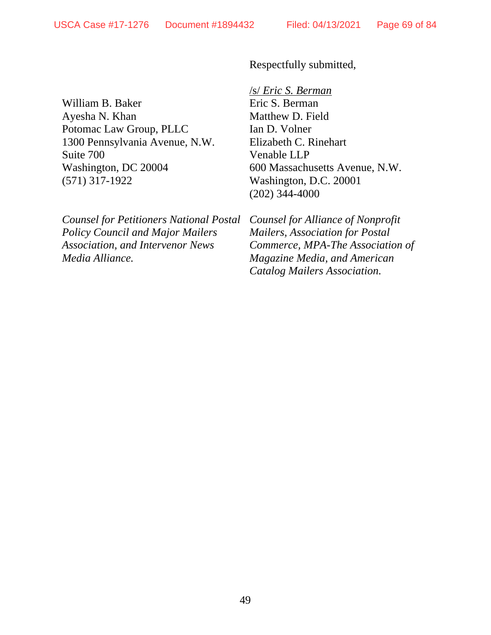Respectfully submitted,

William B. Baker Ayesha N. Khan Potomac Law Group, PLLC 1300 Pennsylvania Avenue, N.W. Suite 700 Washington, DC 20004 (571) 317-1922

*Counsel for Petitioners National Postal Policy Council and Major Mailers Association, and Intervenor News Media Alliance.*

/s/ *Eric S. Berman*  Eric S. Berman Matthew D. Field Ian D. Volner Elizabeth C. Rinehart Venable LLP 600 Massachusetts Avenue, N.W. Washington, D.C. 20001 (202) 344-4000

*Counsel for Alliance of Nonprofit Mailers, Association for Postal Commerce, MPA-The Association of Magazine Media, and American Catalog Mailers Association.*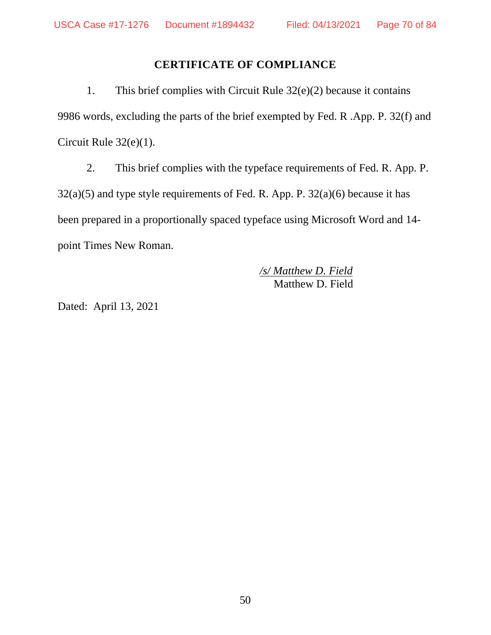# **CERTIFICATE OF COMPLIANCE**

1. This brief complies with Circuit Rule 32(e)(2) because it contains 9986 words, excluding the parts of the brief exempted by Fed. R .App. P. 32(f) and Circuit Rule 32(e)(1).

2. This brief complies with the typeface requirements of Fed. R. App. P.  $32(a)(5)$  and type style requirements of Fed. R. App. P.  $32(a)(6)$  because it has been prepared in a proportionally spaced typeface using Microsoft Word and 14 point Times New Roman.

> */s/ Matthew D. Field*  Matthew D. Field

Dated: April 13, 2021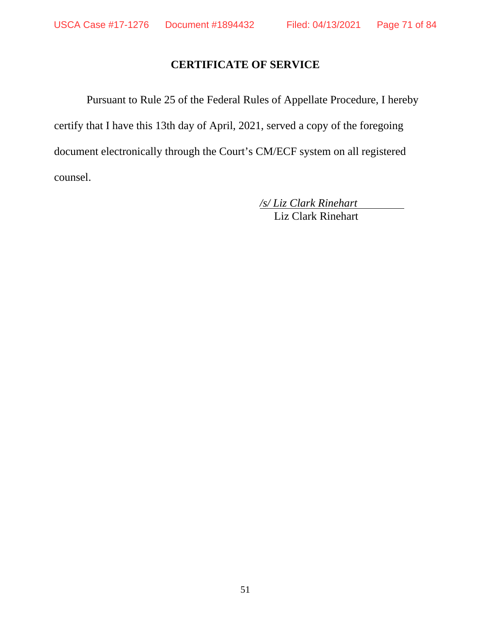# **CERTIFICATE OF SERVICE**

Pursuant to Rule 25 of the Federal Rules of Appellate Procedure, I hereby certify that I have this 13th day of April, 2021, served a copy of the foregoing document electronically through the Court's CM/ECF system on all registered counsel.

> */s/ Liz Clark Rinehart*  Liz Clark Rinehart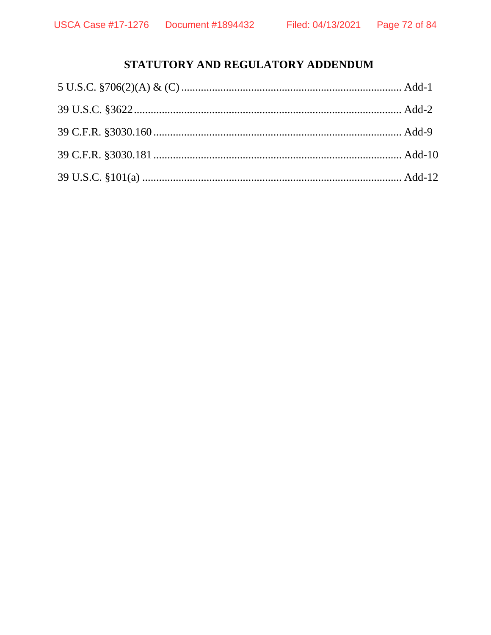# STATUTORY AND REGULATORY ADDENDUM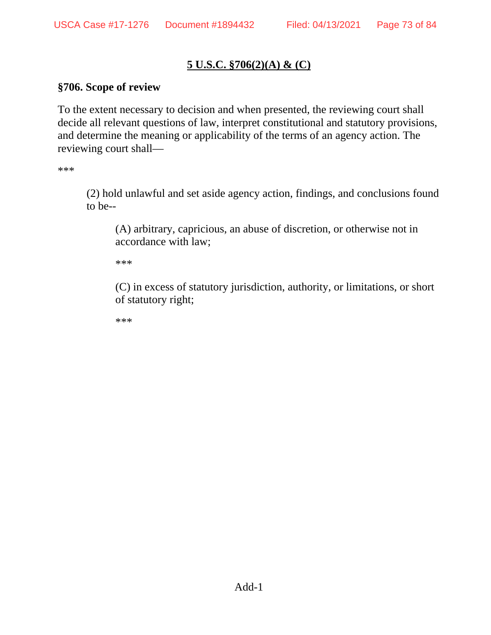# **5 U.S.C. §706(2)(A) & (C)**

### **§706. Scope of review**

To the extent necessary to decision and when presented, the reviewing court shall decide all relevant questions of law, interpret constitutional and statutory provisions, and determine the meaning or applicability of the terms of an agency action. The reviewing court shall—

\*\*\*

(2) hold unlawful and set aside agency action, findings, and conclusions found to be--

(A) arbitrary, capricious, an abuse of discretion, or otherwise not in accordance with law;

\*\*\*

(C) in excess of statutory jurisdiction, authority, or limitations, or short of statutory right;

\*\*\*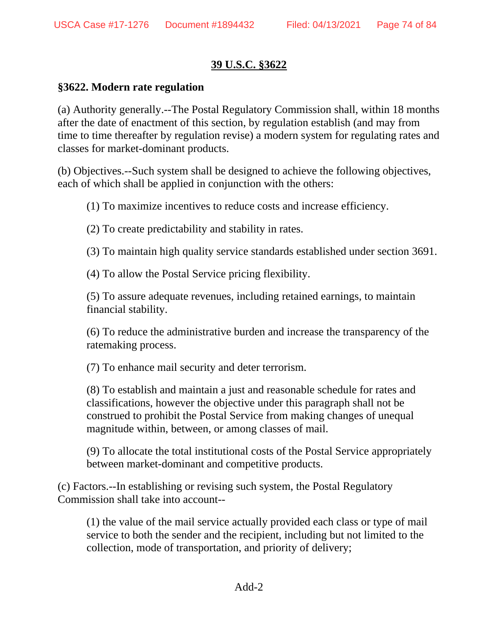# **39 U.S.C. §3622**

### **§3622. Modern rate regulation**

(a) Authority generally.--The Postal Regulatory Commission shall, within 18 months after the date of enactment of this section, by regulation establish (and may from time to time thereafter by regulation revise) a modern system for regulating rates and classes for market-dominant products.

(b) Objectives.--Such system shall be designed to achieve the following objectives, each of which shall be applied in conjunction with the others:

(1) To maximize incentives to reduce costs and increase efficiency.

(2) To create predictability and stability in rates.

(3) To maintain high quality service standards established under section 3691.

(4) To allow the Postal Service pricing flexibility.

(5) To assure adequate revenues, including retained earnings, to maintain financial stability.

(6) To reduce the administrative burden and increase the transparency of the ratemaking process.

(7) To enhance mail security and deter terrorism.

(8) To establish and maintain a just and reasonable schedule for rates and classifications, however the objective under this paragraph shall not be construed to prohibit the Postal Service from making changes of unequal magnitude within, between, or among classes of mail.

(9) To allocate the total institutional costs of the Postal Service appropriately between market-dominant and competitive products.

(c) Factors.--In establishing or revising such system, the Postal Regulatory Commission shall take into account--

(1) the value of the mail service actually provided each class or type of mail service to both the sender and the recipient, including but not limited to the collection, mode of transportation, and priority of delivery;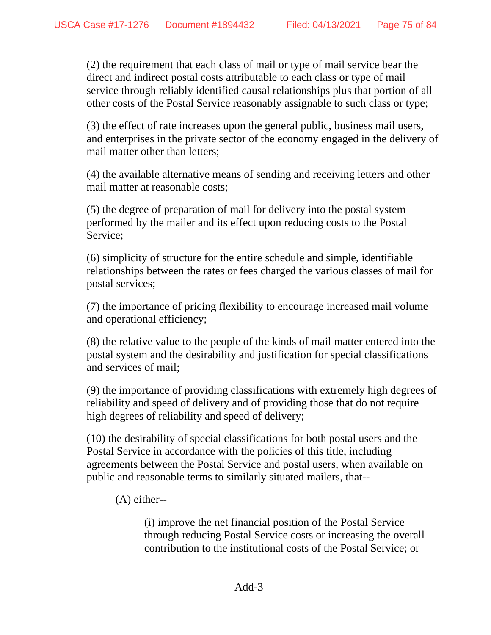(2) the requirement that each class of mail or type of mail service bear the direct and indirect postal costs attributable to each class or type of mail service through reliably identified causal relationships plus that portion of all other costs of the Postal Service reasonably assignable to such class or type;

(3) the effect of rate increases upon the general public, business mail users, and enterprises in the private sector of the economy engaged in the delivery of mail matter other than letters;

(4) the available alternative means of sending and receiving letters and other mail matter at reasonable costs;

(5) the degree of preparation of mail for delivery into the postal system performed by the mailer and its effect upon reducing costs to the Postal Service;

(6) simplicity of structure for the entire schedule and simple, identifiable relationships between the rates or fees charged the various classes of mail for postal services;

(7) the importance of pricing flexibility to encourage increased mail volume and operational efficiency;

(8) the relative value to the people of the kinds of mail matter entered into the postal system and the desirability and justification for special classifications and services of mail;

(9) the importance of providing classifications with extremely high degrees of reliability and speed of delivery and of providing those that do not require high degrees of reliability and speed of delivery;

(10) the desirability of special classifications for both postal users and the Postal Service in accordance with the policies of this title, including agreements between the Postal Service and postal users, when available on public and reasonable terms to similarly situated mailers, that--

(A) either--

(i) improve the net financial position of the Postal Service through reducing Postal Service costs or increasing the overall contribution to the institutional costs of the Postal Service; or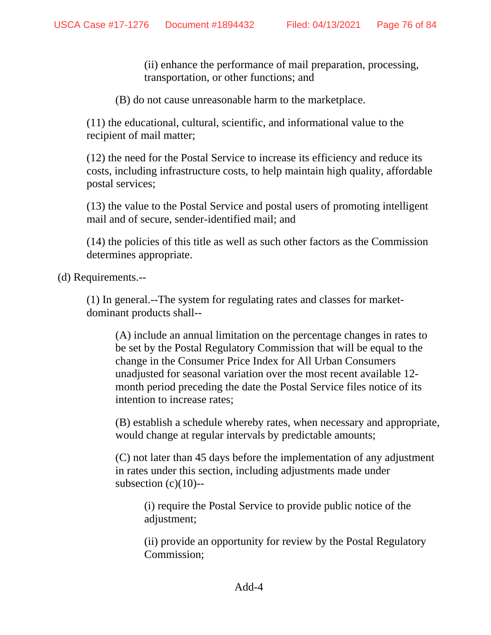(ii) enhance the performance of mail preparation, processing, transportation, or other functions; and

(B) do not cause unreasonable harm to the marketplace.

(11) the educational, cultural, scientific, and informational value to the recipient of mail matter;

(12) the need for the Postal Service to increase its efficiency and reduce its costs, including infrastructure costs, to help maintain high quality, affordable postal services;

(13) the value to the Postal Service and postal users of promoting intelligent mail and of secure, sender-identified mail; and

(14) the policies of this title as well as such other factors as the Commission determines appropriate.

(d) Requirements.--

(1) In general.--The system for regulating rates and classes for marketdominant products shall--

(A) include an annual limitation on the percentage changes in rates to be set by the Postal Regulatory Commission that will be equal to the change in the Consumer Price Index for All Urban Consumers unadjusted for seasonal variation over the most recent available 12 month period preceding the date the Postal Service files notice of its intention to increase rates;

(B) establish a schedule whereby rates, when necessary and appropriate, would change at regular intervals by predictable amounts;

(C) not later than 45 days before the implementation of any adjustment in rates under this section, including adjustments made under subsection  $(c)(10)$ --

(i) require the Postal Service to provide public notice of the adjustment;

(ii) provide an opportunity for review by the Postal Regulatory Commission;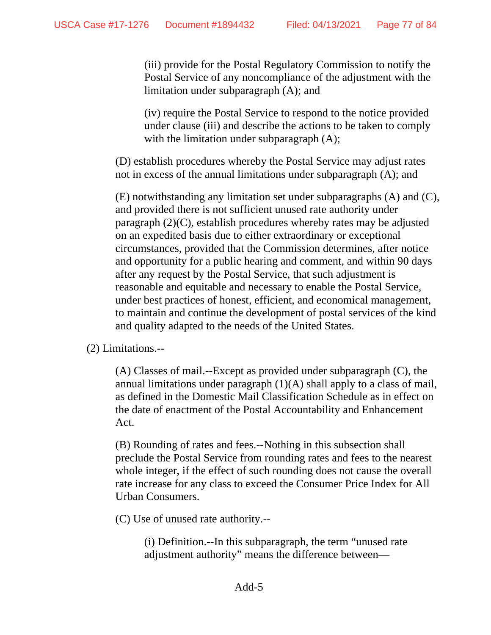(iii) provide for the Postal Regulatory Commission to notify the Postal Service of any noncompliance of the adjustment with the limitation under subparagraph (A); and

(iv) require the Postal Service to respond to the notice provided under clause (iii) and describe the actions to be taken to comply with the limitation under subparagraph  $(A)$ ;

(D) establish procedures whereby the Postal Service may adjust rates not in excess of the annual limitations under subparagraph (A); and

(E) notwithstanding any limitation set under subparagraphs (A) and (C), and provided there is not sufficient unused rate authority under paragraph (2)(C), establish procedures whereby rates may be adjusted on an expedited basis due to either extraordinary or exceptional circumstances, provided that the Commission determines, after notice and opportunity for a public hearing and comment, and within 90 days after any request by the Postal Service, that such adjustment is reasonable and equitable and necessary to enable the Postal Service, under best practices of honest, efficient, and economical management, to maintain and continue the development of postal services of the kind and quality adapted to the needs of the United States.

(2) Limitations.--

(A) Classes of mail.--Except as provided under subparagraph (C), the annual limitations under paragraph  $(1)(A)$  shall apply to a class of mail, as defined in the Domestic Mail Classification Schedule as in effect on the date of enactment of the Postal Accountability and Enhancement Act.

(B) Rounding of rates and fees.--Nothing in this subsection shall preclude the Postal Service from rounding rates and fees to the nearest whole integer, if the effect of such rounding does not cause the overall rate increase for any class to exceed the Consumer Price Index for All Urban Consumers.

(C) Use of unused rate authority.--

(i) Definition.--In this subparagraph, the term "unused rate adjustment authority" means the difference between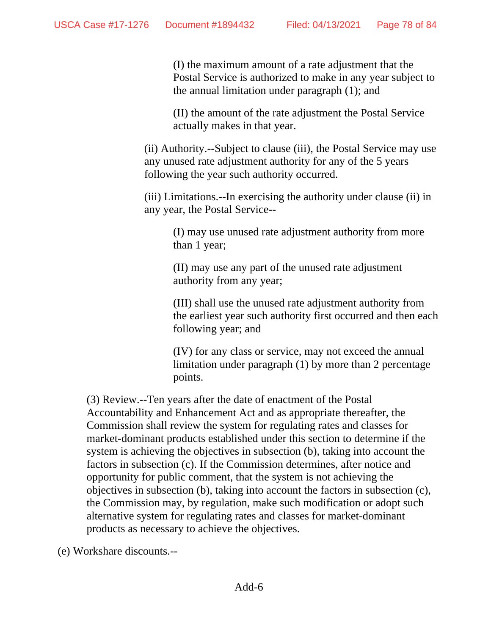(I) the maximum amount of a rate adjustment that the Postal Service is authorized to make in any year subject to the annual limitation under paragraph (1); and

(II) the amount of the rate adjustment the Postal Service actually makes in that year.

(ii) Authority.--Subject to clause (iii), the Postal Service may use any unused rate adjustment authority for any of the 5 years following the year such authority occurred.

(iii) Limitations.--In exercising the authority under clause (ii) in any year, the Postal Service--

(I) may use unused rate adjustment authority from more than 1 year;

(II) may use any part of the unused rate adjustment authority from any year;

(III) shall use the unused rate adjustment authority from the earliest year such authority first occurred and then each following year; and

(IV) for any class or service, may not exceed the annual limitation under paragraph (1) by more than 2 percentage points.

(3) Review.--Ten years after the date of enactment of the Postal Accountability and Enhancement Act and as appropriate thereafter, the Commission shall review the system for regulating rates and classes for market-dominant products established under this section to determine if the system is achieving the objectives in subsection (b), taking into account the factors in subsection (c). If the Commission determines, after notice and opportunity for public comment, that the system is not achieving the objectives in subsection (b), taking into account the factors in subsection (c), the Commission may, by regulation, make such modification or adopt such alternative system for regulating rates and classes for market-dominant products as necessary to achieve the objectives.

(e) Workshare discounts.--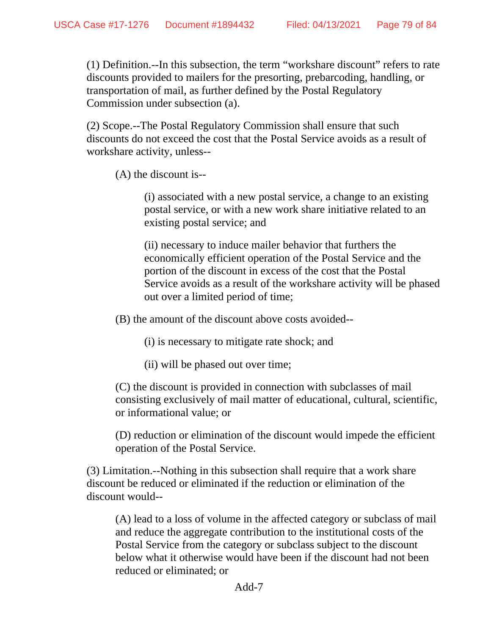(1) Definition.--In this subsection, the term "workshare discount" refers to rate discounts provided to mailers for the presorting, prebarcoding, handling, or transportation of mail, as further defined by the Postal Regulatory Commission under subsection (a).

(2) Scope.--The Postal Regulatory Commission shall ensure that such discounts do not exceed the cost that the Postal Service avoids as a result of workshare activity, unless--

(A) the discount is--

(i) associated with a new postal service, a change to an existing postal service, or with a new work share initiative related to an existing postal service; and

(ii) necessary to induce mailer behavior that furthers the economically efficient operation of the Postal Service and the portion of the discount in excess of the cost that the Postal Service avoids as a result of the workshare activity will be phased out over a limited period of time;

(B) the amount of the discount above costs avoided--

(i) is necessary to mitigate rate shock; and

(ii) will be phased out over time;

(C) the discount is provided in connection with subclasses of mail consisting exclusively of mail matter of educational, cultural, scientific, or informational value; or

(D) reduction or elimination of the discount would impede the efficient operation of the Postal Service.

(3) Limitation.--Nothing in this subsection shall require that a work share discount be reduced or eliminated if the reduction or elimination of the discount would--

(A) lead to a loss of volume in the affected category or subclass of mail and reduce the aggregate contribution to the institutional costs of the Postal Service from the category or subclass subject to the discount below what it otherwise would have been if the discount had not been reduced or eliminated; or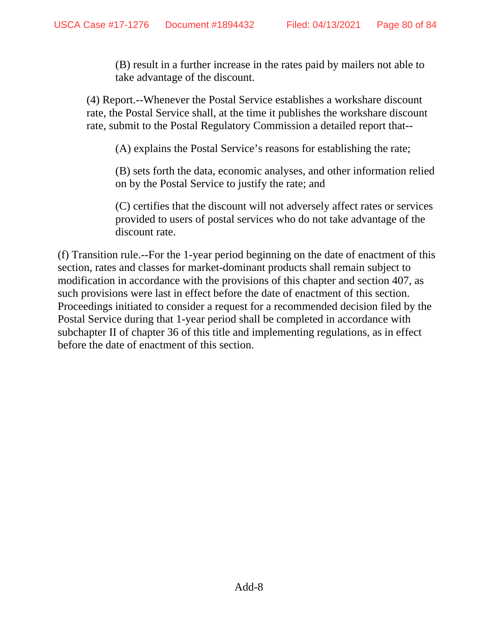(B) result in a further increase in the rates paid by mailers not able to take advantage of the discount.

(4) Report.--Whenever the Postal Service establishes a workshare discount rate, the Postal Service shall, at the time it publishes the workshare discount rate, submit to the Postal Regulatory Commission a detailed report that--

(A) explains the Postal Service's reasons for establishing the rate;

(B) sets forth the data, economic analyses, and other information relied on by the Postal Service to justify the rate; and

(C) certifies that the discount will not adversely affect rates or services provided to users of postal services who do not take advantage of the discount rate.

(f) Transition rule.--For the 1-year period beginning on the date of enactment of this section, rates and classes for market-dominant products shall remain subject to modification in accordance with the provisions of this chapter and section 407, as such provisions were last in effect before the date of enactment of this section. Proceedings initiated to consider a request for a recommended decision filed by the Postal Service during that 1-year period shall be completed in accordance with subchapter II of chapter 36 of this title and implementing regulations, as in effect before the date of enactment of this section.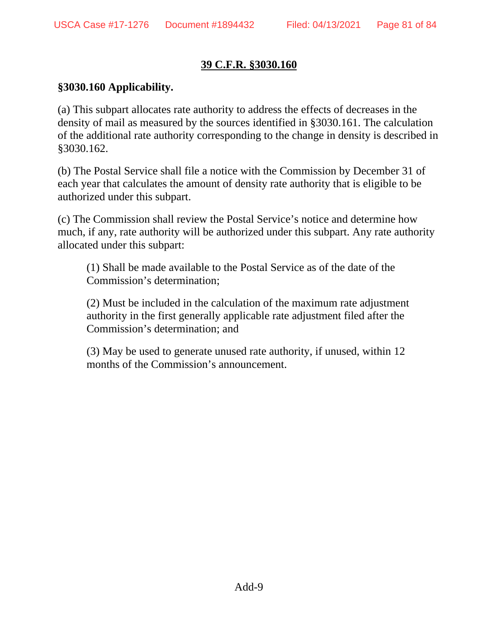## **39 C.F.R. §3030.160**

### **§3030.160 Applicability.**

(a) This subpart allocates rate authority to address the effects of decreases in the density of mail as measured by the sources identified in §3030.161. The calculation of the additional rate authority corresponding to the change in density is described in §3030.162.

(b) The Postal Service shall file a notice with the Commission by December 31 of each year that calculates the amount of density rate authority that is eligible to be authorized under this subpart.

(c) The Commission shall review the Postal Service's notice and determine how much, if any, rate authority will be authorized under this subpart. Any rate authority allocated under this subpart:

(1) Shall be made available to the Postal Service as of the date of the Commission's determination;

(2) Must be included in the calculation of the maximum rate adjustment authority in the first generally applicable rate adjustment filed after the Commission's determination; and

(3) May be used to generate unused rate authority, if unused, within 12 months of the Commission's announcement.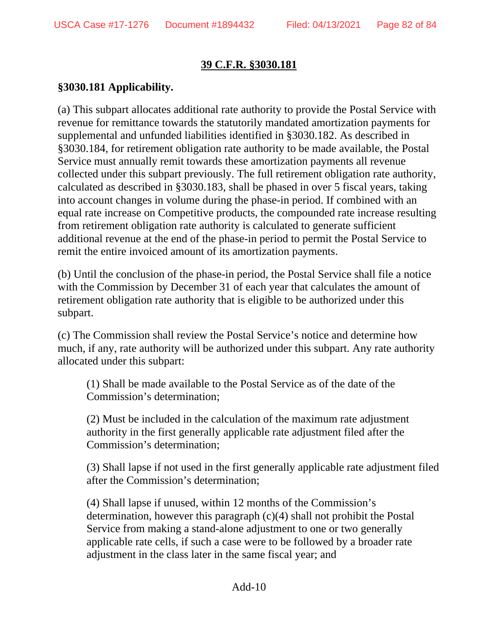### **39 C.F.R. §3030.181**

## **§3030.181 Applicability.**

(a) This subpart allocates additional rate authority to provide the Postal Service with revenue for remittance towards the statutorily mandated amortization payments for supplemental and unfunded liabilities identified in §3030.182. As described in §3030.184, for retirement obligation rate authority to be made available, the Postal Service must annually remit towards these amortization payments all revenue collected under this subpart previously. The full retirement obligation rate authority, calculated as described in §3030.183, shall be phased in over 5 fiscal years, taking into account changes in volume during the phase-in period. If combined with an equal rate increase on Competitive products, the compounded rate increase resulting from retirement obligation rate authority is calculated to generate sufficient additional revenue at the end of the phase-in period to permit the Postal Service to remit the entire invoiced amount of its amortization payments.

(b) Until the conclusion of the phase-in period, the Postal Service shall file a notice with the Commission by December 31 of each year that calculates the amount of retirement obligation rate authority that is eligible to be authorized under this subpart.

(c) The Commission shall review the Postal Service's notice and determine how much, if any, rate authority will be authorized under this subpart. Any rate authority allocated under this subpart:

(1) Shall be made available to the Postal Service as of the date of the Commission's determination;

(2) Must be included in the calculation of the maximum rate adjustment authority in the first generally applicable rate adjustment filed after the Commission's determination;

(3) Shall lapse if not used in the first generally applicable rate adjustment filed after the Commission's determination;

(4) Shall lapse if unused, within 12 months of the Commission's determination, however this paragraph (c)(4) shall not prohibit the Postal Service from making a stand-alone adjustment to one or two generally applicable rate cells, if such a case were to be followed by a broader rate adjustment in the class later in the same fiscal year; and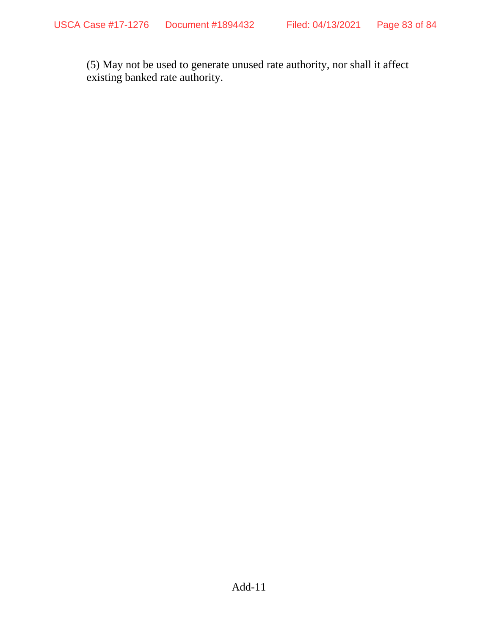(5) May not be used to generate unused rate authority, nor shall it affect existing banked rate authority.